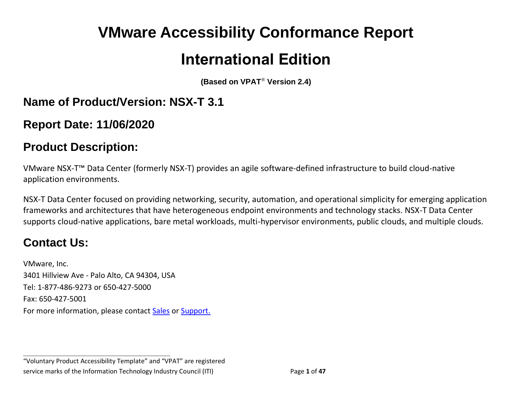# **VMware Accessibility Conformance Report International Edition**

**(Based on VPAT**® **Version 2.4)**

## **Name of Product/Version: NSX-T 3.1**

**Report Date: 11/06/2020**

## **Product Description:**

VMware NSX-T™ Data Center (formerly NSX-T) provides an agile software-defined infrastructure to build cloud-native application environments.

NSX-T Data Center focused on providing networking, security, automation, and operational simplicity for emerging application frameworks and architectures that have heterogeneous endpoint environments and technology stacks. NSX-T Data Center supports cloud-native applications, bare metal workloads, multi-hypervisor environments, public clouds, and multiple clouds.

## **Contact Us:**

VMware, Inc. 3401 Hillview Ave - Palo Alto, CA 94304, USA Tel: 1-877-486-9273 or 650-427-5000 Fax: 650-427-5001 For more information, please contact [Sales](https://www.vmware.com/company/contact_sales.html) or [Support.](https://www.vmware.com/support/contacts.html)

"Voluntary Product Accessibility Template" and "VPAT" are registered service marks of the Information Technology Industry Council (ITI) Page **1** of **47**

**\_\_\_\_\_\_\_\_\_\_\_\_\_\_\_\_\_\_\_\_\_\_\_\_\_\_\_\_\_\_\_\_\_\_**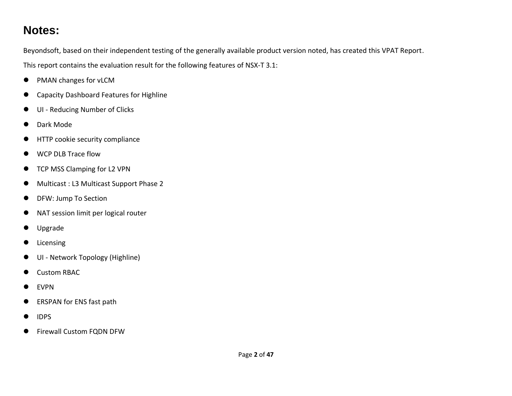## **Notes:**

Beyondsoft, based on their independent testing of the generally available product version noted, has created this VPAT Report.

This report contains the evaluation result for the following features of NSX-T 3.1:

- PMAN changes for vLCM
- Capacity Dashboard Features for Highline
- ⚫ UI Reducing Number of Clicks
- Dark Mode
- ⚫ HTTP cookie security compliance
- WCP DLB Trace flow
- TCP MSS Clamping for L2 VPN
- Multicast : L3 Multicast Support Phase 2
- DFW: Jump To Section
- ⚫ NAT session limit per logical router
- ⚫ Upgrade
- ⚫ Licensing
- ⚫ UI Network Topology (Highline)
- Custom RBAC
- EVPN
- ERSPAN for ENS fast path
- IDPS
- Firewall Custom FQDN DFW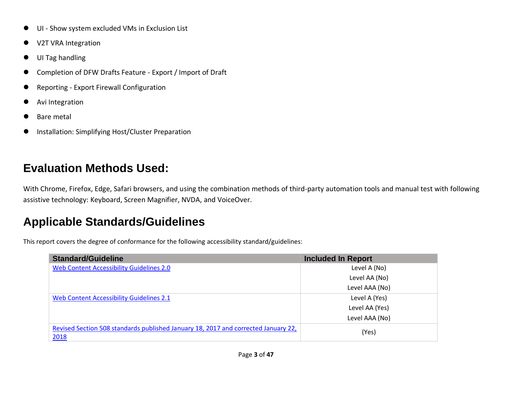- UI Show system excluded VMs in Exclusion List
- ⚫ V2T VRA Integration
- ⚫ UI Tag handling
- Completion of DFW Drafts Feature Export / Import of Draft
- Reporting Export Firewall Configuration
- ⚫ Avi Integration
- ⚫ Bare metal
- ⚫ Installation: Simplifying Host/Cluster Preparation

# **Evaluation Methods Used:**

With Chrome, Firefox, Edge, Safari browsers, and using the combination methods of third-party automation tools and manual test with following assistive technology: Keyboard, Screen Magnifier, NVDA, and VoiceOver.

# **Applicable Standards/Guidelines**

This report covers the degree of conformance for the following accessibility standard/guidelines:

| <b>Standard/Guideline</b>                                                                  | <b>Included In Report</b> |
|--------------------------------------------------------------------------------------------|---------------------------|
| <b>Web Content Accessibility Guidelines 2.0</b>                                            | Level A (No)              |
|                                                                                            | Level AA (No)             |
|                                                                                            | Level AAA (No)            |
| Web Content Accessibility Guidelines 2.1                                                   | Level A (Yes)             |
|                                                                                            | Level AA (Yes)            |
|                                                                                            | Level AAA (No)            |
| Revised Section 508 standards published January 18, 2017 and corrected January 22,<br>2018 | (Yes)                     |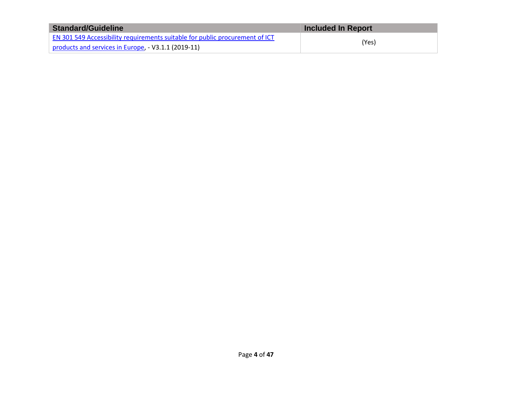| <b>Standard/Guideline</b>                                                    | <b>Included In Report</b> |
|------------------------------------------------------------------------------|---------------------------|
| EN 301 549 Accessibility requirements suitable for public procurement of ICT |                           |
| products and services in Europe, - V3.1.1 (2019-11)                          | (Yes)                     |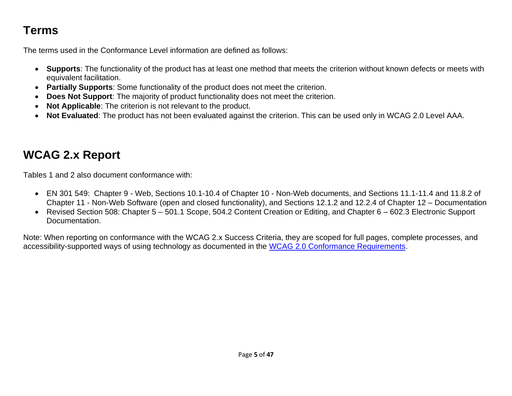# **Terms**

The terms used in the Conformance Level information are defined as follows:

- **Supports**: The functionality of the product has at least one method that meets the criterion without known defects or meets with equivalent facilitation.
- **Partially Supports**: Some functionality of the product does not meet the criterion.
- **Does Not Support**: The majority of product functionality does not meet the criterion.
- **Not Applicable**: The criterion is not relevant to the product.
- **Not Evaluated**: The product has not been evaluated against the criterion. This can be used only in WCAG 2.0 Level AAA.

# <span id="page-4-0"></span>**WCAG 2.x Report**

Tables 1 and 2 also document conformance with:

- EN 301 549: Chapter 9 Web, Sections 10.1-10.4 of Chapter 10 Non-Web documents, and Sections 11.1-11.4 and 11.8.2 of Chapter 11 - Non-Web Software (open and closed functionality), and Sections 12.1.2 and 12.2.4 of Chapter 12 – Documentation
- Revised Section 508: Chapter 5 501.1 Scope, 504.2 Content Creation or Editing, and Chapter 6 602.3 Electronic Support Documentation.

Note: When reporting on conformance with the WCAG 2.x Success Criteria, they are scoped for full pages, complete processes, and accessibility-supported ways of using technology as documented in the [WCAG 2.0 Conformance Requirements.](https://www.w3.org/TR/WCAG20/#conformance-reqs)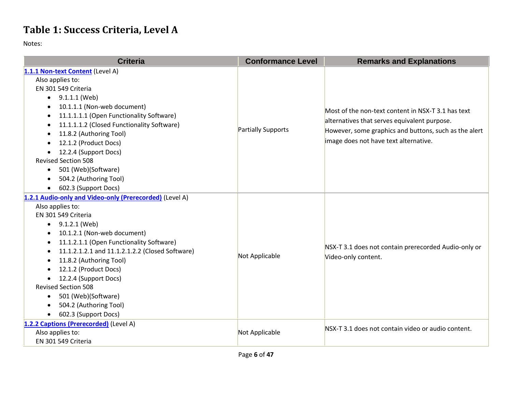## **Table 1: Success Criteria, Level A**

| <b>Criteria</b>                                              | <b>Conformance Level</b> | <b>Remarks and Explanations</b>                                                                    |
|--------------------------------------------------------------|--------------------------|----------------------------------------------------------------------------------------------------|
| 1.1.1 Non-text Content (Level A)                             |                          |                                                                                                    |
| Also applies to:                                             |                          |                                                                                                    |
| EN 301 549 Criteria                                          |                          |                                                                                                    |
| 9.1.1.1 (Web)<br>$\bullet$                                   |                          |                                                                                                    |
| 10.1.1.1 (Non-web document)<br>$\bullet$                     |                          | Most of the non-text content in NSX-T 3.1 has text<br>alternatives that serves equivalent purpose. |
| 11.1.1.1.1 (Open Functionality Software)                     |                          |                                                                                                    |
| 11.1.1.1.2 (Closed Functionality Software)<br>$\bullet$      | Partially Supports       |                                                                                                    |
| 11.8.2 (Authoring Tool)<br>$\bullet$                         |                          | However, some graphics and buttons, such as the alert                                              |
| 12.1.2 (Product Docs)                                        |                          | image does not have text alternative.                                                              |
| 12.2.4 (Support Docs)                                        |                          |                                                                                                    |
| <b>Revised Section 508</b>                                   |                          |                                                                                                    |
| 501 (Web)(Software)<br>$\bullet$                             |                          |                                                                                                    |
| 504.2 (Authoring Tool)                                       |                          |                                                                                                    |
| 602.3 (Support Docs)<br>$\bullet$                            |                          |                                                                                                    |
| 1.2.1 Audio-only and Video-only (Prerecorded) (Level A)      |                          |                                                                                                    |
| Also applies to:                                             |                          |                                                                                                    |
| EN 301 549 Criteria                                          |                          |                                                                                                    |
| 9.1.2.1 (Web)<br>$\bullet$                                   |                          |                                                                                                    |
| 10.1.2.1 (Non-web document)                                  |                          | NSX-T 3.1 does not contain prerecorded Audio-only or<br>Video-only content.                        |
| 11.1.2.1.1 (Open Functionality Software)                     |                          |                                                                                                    |
| 11.1.2.1.2.1 and 11.1.2.1.2.2 (Closed Software)<br>$\bullet$ | Not Applicable           |                                                                                                    |
| 11.8.2 (Authoring Tool)                                      |                          |                                                                                                    |
| 12.1.2 (Product Docs)                                        |                          |                                                                                                    |
| 12.2.4 (Support Docs)<br>$\bullet$                           |                          |                                                                                                    |
| <b>Revised Section 508</b>                                   |                          |                                                                                                    |
| 501 (Web)(Software)<br>$\bullet$                             |                          |                                                                                                    |
| 504.2 (Authoring Tool)                                       |                          |                                                                                                    |
| 602.3 (Support Docs)                                         |                          |                                                                                                    |
| 1.2.2 Captions (Prerecorded) (Level A)                       |                          | NSX-T 3.1 does not contain video or audio content.                                                 |
| Also applies to:                                             | Not Applicable           |                                                                                                    |
| EN 301 549 Criteria                                          |                          |                                                                                                    |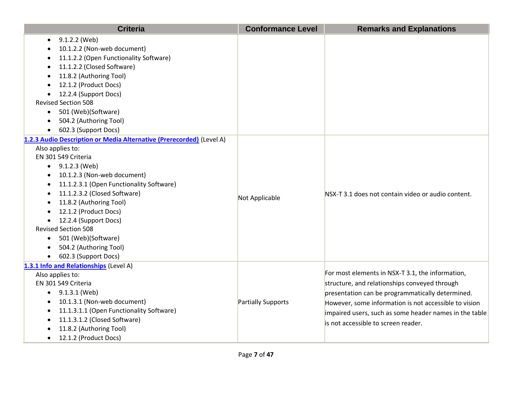| <b>Criteria</b>                                                      | <b>Conformance Level</b> | <b>Remarks and Explanations</b>                        |
|----------------------------------------------------------------------|--------------------------|--------------------------------------------------------|
| 9.1.2.2 (Web)                                                        |                          |                                                        |
| 10.1.2.2 (Non-web document)                                          |                          |                                                        |
| 11.1.2.2 (Open Functionality Software)                               |                          |                                                        |
| 11.1.2.2 (Closed Software)                                           |                          |                                                        |
| 11.8.2 (Authoring Tool)                                              |                          |                                                        |
| 12.1.2 (Product Docs)                                                |                          |                                                        |
| 12.2.4 (Support Docs)                                                |                          |                                                        |
| <b>Revised Section 508</b>                                           |                          |                                                        |
| 501 (Web)(Software)                                                  |                          |                                                        |
| 504.2 (Authoring Tool)                                               |                          |                                                        |
| 602.3 (Support Docs)                                                 |                          |                                                        |
| 1.2.3 Audio Description or Media Alternative (Prerecorded) (Level A) |                          |                                                        |
| Also applies to:                                                     |                          |                                                        |
| EN 301 549 Criteria                                                  |                          |                                                        |
| $\bullet$ 9.1.2.3 (Web)                                              |                          |                                                        |
| 10.1.2.3 (Non-web document)<br>$\bullet$                             |                          |                                                        |
| 11.1.2.3.1 (Open Functionality Software)                             |                          |                                                        |
| 11.1.2.3.2 (Closed Software)                                         | Not Applicable           | NSX-T 3.1 does not contain video or audio content.     |
| 11.8.2 (Authoring Tool)                                              |                          |                                                        |
| 12.1.2 (Product Docs)                                                |                          |                                                        |
| 12.2.4 (Support Docs)                                                |                          |                                                        |
| <b>Revised Section 508</b>                                           |                          |                                                        |
| 501 (Web)(Software)<br>$\bullet$                                     |                          |                                                        |
| 504.2 (Authoring Tool)                                               |                          |                                                        |
| 602.3 (Support Docs)                                                 |                          |                                                        |
| 1.3.1 Info and Relationships (Level A)                               |                          |                                                        |
| Also applies to:                                                     |                          | For most elements in NSX-T 3.1, the information,       |
| EN 301 549 Criteria                                                  |                          | structure, and relationships conveyed through          |
| $\bullet$ 9.1.3.1 (Web)                                              |                          | presentation can be programmatically determined.       |
| 10.1.3.1 (Non-web document)                                          | Partially Supports       | However, some information is not accessible to vision  |
| 11.1.3.1.1 (Open Functionality Software)                             |                          | impaired users, such as some header names in the table |
| 11.1.3.1.2 (Closed Software)                                         |                          | is not accessible to screen reader.                    |
| 11.8.2 (Authoring Tool)                                              |                          |                                                        |
| 12.1.2 (Product Docs)                                                |                          |                                                        |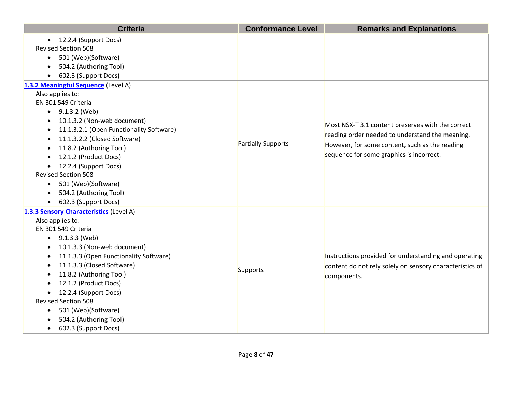| <b>Criteria</b>                          | <b>Conformance Level</b>  | <b>Remarks and Explanations</b>                          |
|------------------------------------------|---------------------------|----------------------------------------------------------|
| 12.2.4 (Support Docs)<br>$\bullet$       |                           |                                                          |
| <b>Revised Section 508</b>               |                           |                                                          |
| 501 (Web)(Software)<br>$\bullet$         |                           |                                                          |
| 504.2 (Authoring Tool)                   |                           |                                                          |
| 602.3 (Support Docs)                     |                           |                                                          |
| 1.3.2 Meaningful Sequence (Level A)      |                           |                                                          |
| Also applies to:                         |                           |                                                          |
| EN 301 549 Criteria                      |                           |                                                          |
| $\bullet$ 9.1.3.2 (Web)                  |                           |                                                          |
| 10.1.3.2 (Non-web document)              |                           | Most NSX-T 3.1 content preserves with the correct        |
| 11.1.3.2.1 (Open Functionality Software) |                           |                                                          |
| 11.1.3.2.2 (Closed Software)             |                           | reading order needed to understand the meaning.          |
| 11.8.2 (Authoring Tool)                  | <b>Partially Supports</b> | However, for some content, such as the reading           |
| 12.1.2 (Product Docs)                    |                           | sequence for some graphics is incorrect.                 |
| 12.2.4 (Support Docs)<br>$\bullet$       |                           |                                                          |
| <b>Revised Section 508</b>               |                           |                                                          |
| 501 (Web)(Software)<br>$\bullet$         |                           |                                                          |
| 504.2 (Authoring Tool)                   |                           |                                                          |
| 602.3 (Support Docs)                     |                           |                                                          |
| 1.3.3 Sensory Characteristics (Level A)  |                           |                                                          |
| Also applies to:                         |                           |                                                          |
| EN 301 549 Criteria                      |                           |                                                          |
| 9.1.3.3 (Web)                            |                           |                                                          |
| 10.1.3.3 (Non-web document)              |                           |                                                          |
| 11.1.3.3 (Open Functionality Software)   |                           | Instructions provided for understanding and operating    |
| 11.1.3.3 (Closed Software)               | Supports                  | content do not rely solely on sensory characteristics of |
| 11.8.2 (Authoring Tool)                  |                           | components.                                              |
| 12.1.2 (Product Docs)                    |                           |                                                          |
| 12.2.4 (Support Docs)                    |                           |                                                          |
| <b>Revised Section 508</b>               |                           |                                                          |
| 501 (Web)(Software)<br>$\bullet$         |                           |                                                          |
| 504.2 (Authoring Tool)                   |                           |                                                          |
| 602.3 (Support Docs)<br>$\bullet$        |                           |                                                          |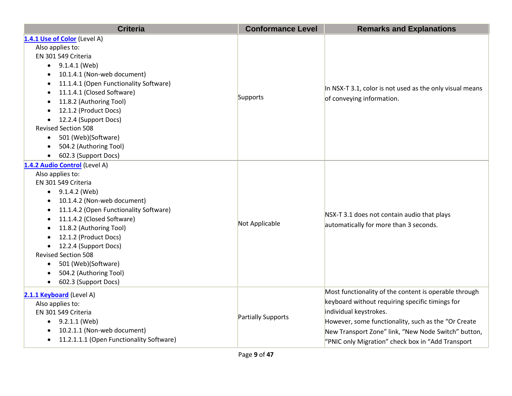| <b>Criteria</b>                          | <b>Conformance Level</b> | <b>Remarks and Explanations</b>                          |
|------------------------------------------|--------------------------|----------------------------------------------------------|
| 1.4.1 Use of Color (Level A)             |                          |                                                          |
| Also applies to:                         |                          |                                                          |
| EN 301 549 Criteria                      |                          |                                                          |
| 9.1.4.1 (Web)<br>$\bullet$               |                          |                                                          |
| 10.1.4.1 (Non-web document)              |                          |                                                          |
| 11.1.4.1 (Open Functionality Software)   |                          |                                                          |
| 11.1.4.1 (Closed Software)               |                          | In NSX-T 3.1, color is not used as the only visual means |
| 11.8.2 (Authoring Tool)                  | Supports                 | of conveying information.                                |
| 12.1.2 (Product Docs)                    |                          |                                                          |
| 12.2.4 (Support Docs)                    |                          |                                                          |
| <b>Revised Section 508</b>               |                          |                                                          |
| 501 (Web)(Software)<br>$\bullet$         |                          |                                                          |
| 504.2 (Authoring Tool)<br>$\bullet$      |                          |                                                          |
| 602.3 (Support Docs)                     |                          |                                                          |
| 1.4.2 Audio Control (Level A)            |                          |                                                          |
| Also applies to:                         |                          |                                                          |
| EN 301 549 Criteria                      |                          |                                                          |
| 9.1.4.2 (Web)<br>$\bullet$               |                          |                                                          |
| 10.1.4.2 (Non-web document)              |                          |                                                          |
| 11.1.4.2 (Open Functionality Software)   | Not Applicable           | NSX-T 3.1 does not contain audio that plays              |
| 11.1.4.2 (Closed Software)               |                          |                                                          |
| 11.8.2 (Authoring Tool)                  |                          | automatically for more than 3 seconds.                   |
| 12.1.2 (Product Docs)                    |                          |                                                          |
| 12.2.4 (Support Docs)                    |                          |                                                          |
| <b>Revised Section 508</b>               |                          |                                                          |
| 501 (Web)(Software)<br>$\bullet$         |                          |                                                          |
| 504.2 (Authoring Tool)                   |                          |                                                          |
| 602.3 (Support Docs)                     |                          |                                                          |
| 2.1.1 Keyboard (Level A)                 |                          | Most functionality of the content is operable through    |
| Also applies to:                         |                          | keyboard without requiring specific timings for          |
| EN 301 549 Criteria                      |                          | individual keystrokes.                                   |
| $\bullet$ 9.2.1.1 (Web)                  | Partially Supports       | However, some functionality, such as the "Or Create      |
| 10.2.1.1 (Non-web document)              |                          | New Transport Zone" link, "New Node Switch" button,      |
| 11.2.1.1.1 (Open Functionality Software) |                          | "PNIC only Migration" check box in "Add Transport        |
|                                          |                          |                                                          |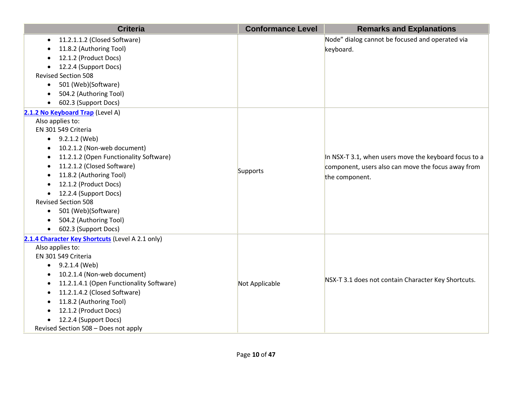| <b>Criteria</b>                                     | <b>Conformance Level</b> | <b>Remarks and Explanations</b>                       |
|-----------------------------------------------------|--------------------------|-------------------------------------------------------|
| 11.2.1.1.2 (Closed Software)<br>$\bullet$           |                          | Node" dialog cannot be focused and operated via       |
| 11.8.2 (Authoring Tool)                             |                          | keyboard.                                             |
| 12.1.2 (Product Docs)                               |                          |                                                       |
| 12.2.4 (Support Docs)                               |                          |                                                       |
| <b>Revised Section 508</b>                          |                          |                                                       |
| 501 (Web)(Software)<br>$\bullet$                    |                          |                                                       |
| 504.2 (Authoring Tool)                              |                          |                                                       |
| 602.3 (Support Docs)                                |                          |                                                       |
| 2.1.2 No Keyboard Trap (Level A)                    |                          |                                                       |
| Also applies to:                                    |                          |                                                       |
| EN 301 549 Criteria                                 |                          |                                                       |
| 9.2.1.2 (Web)<br>$\bullet$                          |                          |                                                       |
| 10.2.1.2 (Non-web document)                         |                          |                                                       |
| 11.2.1.2 (Open Functionality Software)<br>$\bullet$ |                          | In NSX-T 3.1, when users move the keyboard focus to a |
| 11.2.1.2 (Closed Software)                          |                          | component, users also can move the focus away from    |
| 11.8.2 (Authoring Tool)                             | Supports                 | the component.                                        |
| 12.1.2 (Product Docs)                               |                          |                                                       |
| 12.2.4 (Support Docs)                               |                          |                                                       |
| <b>Revised Section 508</b>                          |                          |                                                       |
| 501 (Web)(Software)<br>$\bullet$                    |                          |                                                       |
| 504.2 (Authoring Tool)                              |                          |                                                       |
| 602.3 (Support Docs)                                |                          |                                                       |
| 2.1.4 Character Key Shortcuts (Level A 2.1 only)    |                          |                                                       |
| Also applies to:                                    |                          |                                                       |
| EN 301 549 Criteria                                 |                          |                                                       |
| $\bullet$ 9.2.1.4 (Web)                             |                          |                                                       |
| 10.2.1.4 (Non-web document)<br>$\bullet$            |                          | NSX-T 3.1 does not contain Character Key Shortcuts.   |
| 11.2.1.4.1 (Open Functionality Software)            | Not Applicable           |                                                       |
| 11.2.1.4.2 (Closed Software)                        |                          |                                                       |
| 11.8.2 (Authoring Tool)                             |                          |                                                       |
| 12.1.2 (Product Docs)<br>$\bullet$                  |                          |                                                       |
| 12.2.4 (Support Docs)                               |                          |                                                       |
| Revised Section 508 - Does not apply                |                          |                                                       |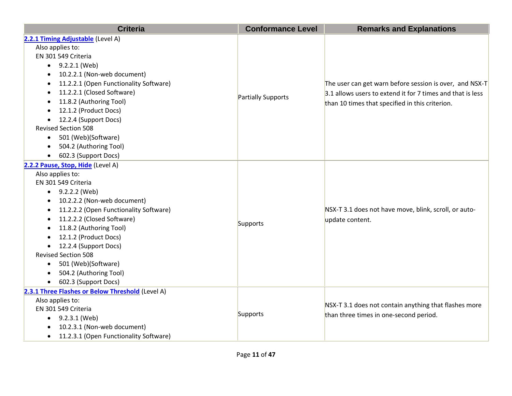| <b>Criteria</b>                                     | <b>Conformance Level</b> | <b>Remarks and Explanations</b>                            |
|-----------------------------------------------------|--------------------------|------------------------------------------------------------|
| 2.2.1 Timing Adjustable (Level A)                   |                          |                                                            |
| Also applies to:                                    |                          |                                                            |
| EN 301 549 Criteria                                 |                          |                                                            |
| 9.2.2.1 (Web)<br>$\bullet$                          |                          |                                                            |
| 10.2.2.1 (Non-web document)                         |                          |                                                            |
| 11.2.2.1 (Open Functionality Software)<br>$\bullet$ |                          | The user can get warn before session is over, and NSX-T    |
| 11.2.2.1 (Closed Software)<br>$\bullet$             |                          | 3.1 allows users to extend it for 7 times and that is less |
| 11.8.2 (Authoring Tool)<br>$\bullet$                | Partially Supports       | than 10 times that specified in this criterion.            |
| 12.1.2 (Product Docs)                               |                          |                                                            |
| 12.2.4 (Support Docs)                               |                          |                                                            |
| <b>Revised Section 508</b>                          |                          |                                                            |
| 501 (Web)(Software)                                 |                          |                                                            |
| 504.2 (Authoring Tool)                              |                          |                                                            |
| 602.3 (Support Docs)<br>$\bullet$                   |                          |                                                            |
| 2.2.2 Pause, Stop, Hide (Level A)                   |                          |                                                            |
| Also applies to:                                    |                          |                                                            |
| EN 301 549 Criteria                                 |                          |                                                            |
| $\bullet$ 9.2.2.2 (Web)                             |                          |                                                            |
| 10.2.2.2 (Non-web document)                         |                          |                                                            |
| 11.2.2.2 (Open Functionality Software)              |                          | NSX-T 3.1 does not have move, blink, scroll, or auto-      |
| 11.2.2.2 (Closed Software)                          | Supports                 | update content.                                            |
| 11.8.2 (Authoring Tool)                             |                          |                                                            |
| 12.1.2 (Product Docs)                               |                          |                                                            |
| 12.2.4 (Support Docs)<br>$\bullet$                  |                          |                                                            |
| <b>Revised Section 508</b>                          |                          |                                                            |
| 501 (Web)(Software)<br>$\bullet$                    |                          |                                                            |
| 504.2 (Authoring Tool)                              |                          |                                                            |
| 602.3 (Support Docs)                                |                          |                                                            |
| 2.3.1 Three Flashes or Below Threshold (Level A)    |                          |                                                            |
| Also applies to:                                    |                          | NSX-T 3.1 does not contain anything that flashes more      |
| EN 301 549 Criteria                                 | Supports                 | than three times in one-second period.                     |
| $\bullet$ 9.2.3.1 (Web)                             |                          |                                                            |
| 10.2.3.1 (Non-web document)                         |                          |                                                            |
| 11.2.3.1 (Open Functionality Software)<br>$\bullet$ |                          |                                                            |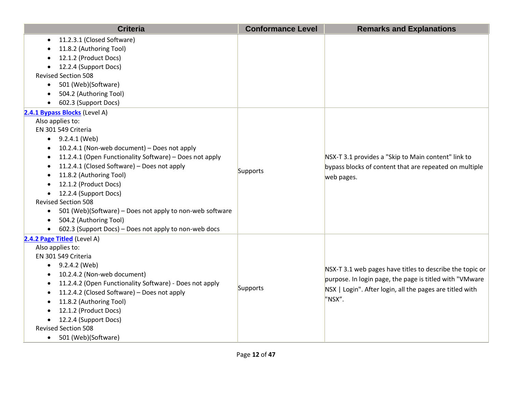| <b>Criteria</b>                                                       | <b>Conformance Level</b> | <b>Remarks and Explanations</b>                                                                               |
|-----------------------------------------------------------------------|--------------------------|---------------------------------------------------------------------------------------------------------------|
| 11.2.3.1 (Closed Software)<br>$\bullet$                               |                          |                                                                                                               |
| 11.8.2 (Authoring Tool)                                               |                          |                                                                                                               |
| 12.1.2 (Product Docs)                                                 |                          |                                                                                                               |
| 12.2.4 (Support Docs)                                                 |                          |                                                                                                               |
| <b>Revised Section 508</b>                                            |                          |                                                                                                               |
| 501 (Web)(Software)<br>$\bullet$                                      |                          |                                                                                                               |
| 504.2 (Authoring Tool)                                                |                          |                                                                                                               |
| 602.3 (Support Docs)                                                  |                          |                                                                                                               |
| 2.4.1 Bypass Blocks (Level A)                                         |                          |                                                                                                               |
| Also applies to:                                                      |                          |                                                                                                               |
| EN 301 549 Criteria                                                   |                          |                                                                                                               |
| $\bullet$ 9.2.4.1 (Web)                                               |                          |                                                                                                               |
| 10.2.4.1 (Non-web document) - Does not apply                          |                          |                                                                                                               |
| 11.2.4.1 (Open Functionality Software) - Does not apply<br>$\bullet$  |                          | NSX-T 3.1 provides a "Skip to Main content" link to<br>bypass blocks of content that are repeated on multiple |
| 11.2.4.1 (Closed Software) - Does not apply                           | Supports                 |                                                                                                               |
| 11.8.2 (Authoring Tool)                                               |                          | web pages.                                                                                                    |
| 12.1.2 (Product Docs)                                                 |                          |                                                                                                               |
| 12.2.4 (Support Docs)                                                 |                          |                                                                                                               |
| <b>Revised Section 508</b>                                            |                          |                                                                                                               |
| 501 (Web)(Software) - Does not apply to non-web software<br>$\bullet$ |                          |                                                                                                               |
| 504.2 (Authoring Tool)<br>$\bullet$                                   |                          |                                                                                                               |
| 602.3 (Support Docs) - Does not apply to non-web docs<br>$\bullet$    |                          |                                                                                                               |
| 2.4.2 Page Titled (Level A)                                           |                          |                                                                                                               |
| Also applies to:                                                      |                          |                                                                                                               |
| EN 301 549 Criteria                                                   |                          |                                                                                                               |
| • $9.2.4.2$ (Web)                                                     |                          | NSX-T 3.1 web pages have titles to describe the topic or                                                      |
| 10.2.4.2 (Non-web document)                                           |                          | purpose. In login page, the page is titled with "VMware                                                       |
| 11.2.4.2 (Open Functionality Software) - Does not apply               | Supports                 | NSX   Login". After login, all the pages are titled with                                                      |
| 11.2.4.2 (Closed Software) - Does not apply                           |                          | "NSX".                                                                                                        |
| 11.8.2 (Authoring Tool)                                               |                          |                                                                                                               |
| 12.1.2 (Product Docs)                                                 |                          |                                                                                                               |
| 12.2.4 (Support Docs)                                                 |                          |                                                                                                               |
| <b>Revised Section 508</b>                                            |                          |                                                                                                               |
| 501 (Web)(Software)<br>$\bullet$                                      |                          |                                                                                                               |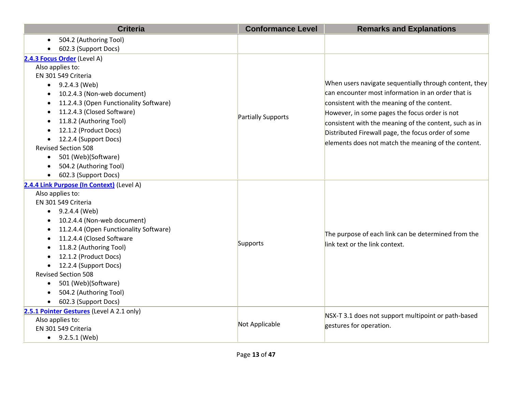| <b>Criteria</b>                                     | <b>Conformance Level</b> | <b>Remarks and Explanations</b>                                                                       |
|-----------------------------------------------------|--------------------------|-------------------------------------------------------------------------------------------------------|
| 504.2 (Authoring Tool)<br>$\bullet$                 |                          |                                                                                                       |
| 602.3 (Support Docs)                                |                          |                                                                                                       |
| 2.4.3 Focus Order (Level A)                         |                          |                                                                                                       |
| Also applies to:                                    |                          |                                                                                                       |
| EN 301 549 Criteria                                 |                          |                                                                                                       |
| 9.2.4.3 (Web)<br>$\bullet$                          |                          | When users navigate sequentially through content, they                                                |
| 10.2.4.3 (Non-web document)                         |                          | $ $ can encounter most information in an order that is<br>consistent with the meaning of the content. |
| 11.2.4.3 (Open Functionality Software)              |                          |                                                                                                       |
| 11.2.4.3 (Closed Software)                          |                          | However, in some pages the focus order is not                                                         |
| 11.8.2 (Authoring Tool)                             | Partially Supports       | consistent with the meaning of the content, such as in                                                |
| 12.1.2 (Product Docs)                               |                          | Distributed Firewall page, the focus order of some                                                    |
| 12.2.4 (Support Docs)                               |                          | elements does not match the meaning of the content.                                                   |
| <b>Revised Section 508</b>                          |                          |                                                                                                       |
| 501 (Web)(Software)<br>$\bullet$                    |                          |                                                                                                       |
| 504.2 (Authoring Tool)<br>$\bullet$                 |                          |                                                                                                       |
| 602.3 (Support Docs)                                |                          |                                                                                                       |
| 2.4.4 Link Purpose (In Context) (Level A)           |                          |                                                                                                       |
| Also applies to:                                    |                          | The purpose of each link can be determined from the<br>link text or the link context.                 |
| EN 301 549 Criteria                                 |                          |                                                                                                       |
| 9.2.4.4 (Web)<br>$\bullet$                          |                          |                                                                                                       |
| 10.2.4.4 (Non-web document)                         |                          |                                                                                                       |
| 11.2.4.4 (Open Functionality Software)<br>$\bullet$ |                          |                                                                                                       |
| 11.2.4.4 (Closed Software<br>$\bullet$              | Supports                 |                                                                                                       |
| 11.8.2 (Authoring Tool)                             |                          |                                                                                                       |
| 12.1.2 (Product Docs)                               |                          |                                                                                                       |
| 12.2.4 (Support Docs)                               |                          |                                                                                                       |
| <b>Revised Section 508</b>                          |                          |                                                                                                       |
| 501 (Web)(Software)<br>$\bullet$                    |                          |                                                                                                       |
| 504.2 (Authoring Tool)                              |                          |                                                                                                       |
| 602.3 (Support Docs)                                |                          |                                                                                                       |
| 2.5.1 Pointer Gestures (Level A 2.1 only)           |                          | NSX-T 3.1 does not support multipoint or path-based                                                   |
| Also applies to:                                    | Not Applicable           | gestures for operation.                                                                               |
| EN 301 549 Criteria                                 |                          |                                                                                                       |
| $\bullet$ 9.2.5.1 (Web)                             |                          |                                                                                                       |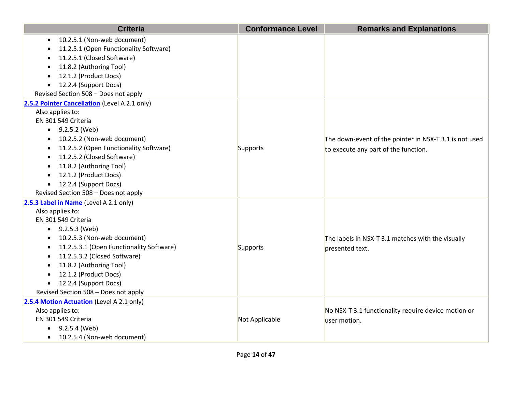| <b>Criteria</b>                               | <b>Conformance Level</b> | <b>Remarks and Explanations</b>                        |
|-----------------------------------------------|--------------------------|--------------------------------------------------------|
| 10.2.5.1 (Non-web document)<br>$\bullet$      |                          |                                                        |
| 11.2.5.1 (Open Functionality Software)        |                          |                                                        |
| 11.2.5.1 (Closed Software)                    |                          |                                                        |
| 11.8.2 (Authoring Tool)                       |                          |                                                        |
| 12.1.2 (Product Docs)                         |                          |                                                        |
| 12.2.4 (Support Docs)                         |                          |                                                        |
| Revised Section 508 - Does not apply          |                          |                                                        |
| 2.5.2 Pointer Cancellation (Level A 2.1 only) |                          |                                                        |
| Also applies to:                              |                          |                                                        |
| EN 301 549 Criteria                           |                          |                                                        |
| $\bullet$ 9.2.5.2 (Web)                       |                          |                                                        |
| 10.2.5.2 (Non-web document)                   |                          | The down-event of the pointer in NSX-T 3.1 is not used |
| 11.2.5.2 (Open Functionality Software)        | Supports                 | to execute any part of the function.                   |
| 11.2.5.2 (Closed Software)                    |                          |                                                        |
| 11.8.2 (Authoring Tool)                       |                          |                                                        |
| 12.1.2 (Product Docs)                         |                          |                                                        |
| 12.2.4 (Support Docs)                         |                          |                                                        |
| Revised Section 508 - Does not apply          |                          |                                                        |
| 2.5.3 Label in Name (Level A 2.1 only)        |                          |                                                        |
| Also applies to:                              |                          |                                                        |
| EN 301 549 Criteria                           |                          |                                                        |
| 9.2.5.3 (Web)<br>$\bullet$                    |                          |                                                        |
| 10.2.5.3 (Non-web document)<br>$\bullet$      |                          | The labels in NSX-T 3.1 matches with the visually      |
| 11.2.5.3.1 (Open Functionality Software)      | Supports                 | presented text.                                        |
| 11.2.5.3.2 (Closed Software)                  |                          |                                                        |
| 11.8.2 (Authoring Tool)                       |                          |                                                        |
| 12.1.2 (Product Docs)                         |                          |                                                        |
| 12.2.4 (Support Docs)                         |                          |                                                        |
| Revised Section 508 - Does not apply          |                          |                                                        |
| 2.5.4 Motion Actuation (Level A 2.1 only)     |                          |                                                        |
| Also applies to:                              |                          | No NSX-T 3.1 functionality require device motion or    |
| EN 301 549 Criteria                           | Not Applicable           | user motion.                                           |
| 9.2.5.4 (Web)<br>$\bullet$                    |                          |                                                        |
| 10.2.5.4 (Non-web document)<br>$\bullet$      |                          |                                                        |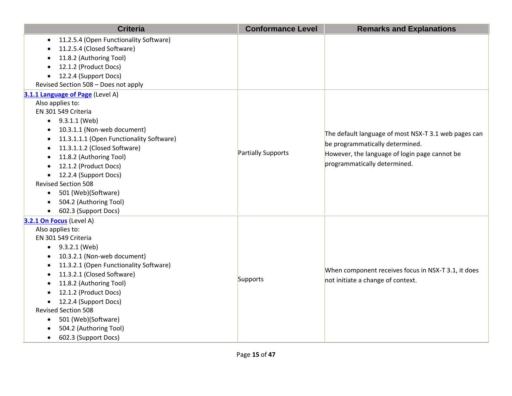| <b>Criteria</b>                                       | <b>Conformance Level</b> | <b>Remarks and Explanations</b>                      |
|-------------------------------------------------------|--------------------------|------------------------------------------------------|
| 11.2.5.4 (Open Functionality Software)<br>$\bullet$   |                          |                                                      |
| 11.2.5.4 (Closed Software)                            |                          |                                                      |
| 11.8.2 (Authoring Tool)                               |                          |                                                      |
| 12.1.2 (Product Docs)                                 |                          |                                                      |
| 12.2.4 (Support Docs)<br>$\bullet$                    |                          |                                                      |
| Revised Section 508 - Does not apply                  |                          |                                                      |
| 3.1.1 Language of Page (Level A)                      |                          |                                                      |
| Also applies to:                                      |                          |                                                      |
| EN 301 549 Criteria                                   |                          |                                                      |
| 9.3.1.1 (Web)<br>$\bullet$                            |                          |                                                      |
| 10.3.1.1 (Non-web document)                           |                          | The default language of most NSX-T 3.1 web pages can |
| 11.3.1.1.1 (Open Functionality Software)<br>$\bullet$ |                          | be programmatically determined.                      |
| 11.3.1.1.2 (Closed Software)                          | Partially Supports       |                                                      |
| 11.8.2 (Authoring Tool)<br>$\bullet$                  |                          | However, the language of login page cannot be        |
| 12.1.2 (Product Docs)<br>$\bullet$                    |                          | programmatically determined.                         |
| 12.2.4 (Support Docs)<br>$\bullet$                    |                          |                                                      |
| <b>Revised Section 508</b>                            |                          |                                                      |
| 501 (Web)(Software)<br>$\bullet$                      |                          |                                                      |
| 504.2 (Authoring Tool)                                |                          |                                                      |
| 602.3 (Support Docs)<br>$\bullet$                     |                          |                                                      |
| 3.2.1 On Focus (Level A)                              |                          |                                                      |
| Also applies to:                                      |                          |                                                      |
| EN 301 549 Criteria                                   |                          |                                                      |
| $\bullet$ 9.3.2.1 (Web)                               |                          |                                                      |
| 10.3.2.1 (Non-web document)<br>٠                      |                          |                                                      |
| 11.3.2.1 (Open Functionality Software)                |                          | When component receives focus in NSX-T 3.1, it does  |
| 11.3.2.1 (Closed Software)                            | Supports                 | not initiate a change of context.                    |
| 11.8.2 (Authoring Tool)                               |                          |                                                      |
| 12.1.2 (Product Docs)                                 |                          |                                                      |
| 12.2.4 (Support Docs)<br>$\bullet$                    |                          |                                                      |
| <b>Revised Section 508</b>                            |                          |                                                      |
| 501 (Web)(Software)<br>$\bullet$                      |                          |                                                      |
| 504.2 (Authoring Tool)                                |                          |                                                      |
| 602.3 (Support Docs)<br>$\bullet$                     |                          |                                                      |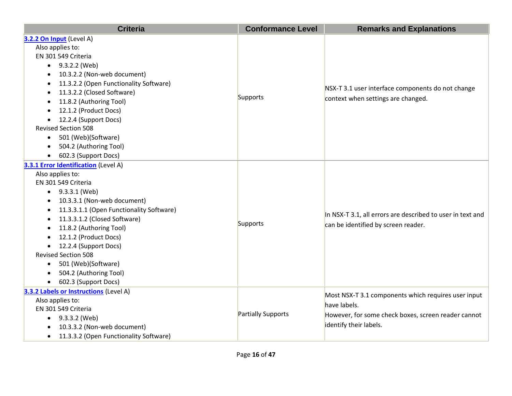| <b>Criteria</b>                          | <b>Conformance Level</b> | <b>Remarks and Explanations</b>                                                                   |
|------------------------------------------|--------------------------|---------------------------------------------------------------------------------------------------|
| 3.2.2 On Input (Level A)                 |                          |                                                                                                   |
| Also applies to:                         |                          |                                                                                                   |
| EN 301 549 Criteria                      |                          |                                                                                                   |
| 9.3.2.2 (Web)                            |                          |                                                                                                   |
| 10.3.2.2 (Non-web document)              |                          |                                                                                                   |
| 11.3.2.2 (Open Functionality Software)   |                          |                                                                                                   |
| 11.3.2.2 (Closed Software)               |                          | NSX-T 3.1 user interface components do not change<br>context when settings are changed.           |
| 11.8.2 (Authoring Tool)                  | Supports                 |                                                                                                   |
| 12.1.2 (Product Docs)                    |                          |                                                                                                   |
| 12.2.4 (Support Docs)                    |                          |                                                                                                   |
| <b>Revised Section 508</b>               |                          |                                                                                                   |
| 501 (Web)(Software)                      |                          |                                                                                                   |
| 504.2 (Authoring Tool)                   |                          |                                                                                                   |
| 602.3 (Support Docs)                     |                          |                                                                                                   |
| 3.3.1 Error Identification (Level A)     |                          |                                                                                                   |
| Also applies to:                         |                          | In NSX-T 3.1, all errors are described to user in text and<br>can be identified by screen reader. |
| EN 301 549 Criteria                      |                          |                                                                                                   |
| 9.3.3.1 (Web)<br>$\bullet$               |                          |                                                                                                   |
| 10.3.3.1 (Non-web document)              |                          |                                                                                                   |
| 11.3.3.1.1 (Open Functionality Software) |                          |                                                                                                   |
| 11.3.3.1.2 (Closed Software)             | Supports                 |                                                                                                   |
| 11.8.2 (Authoring Tool)                  |                          |                                                                                                   |
| 12.1.2 (Product Docs)                    |                          |                                                                                                   |
| 12.2.4 (Support Docs)<br>$\bullet$       |                          |                                                                                                   |
| <b>Revised Section 508</b>               |                          |                                                                                                   |
| 501 (Web)(Software)<br>$\bullet$         |                          |                                                                                                   |
| 504.2 (Authoring Tool)                   |                          |                                                                                                   |
| 602.3 (Support Docs)                     |                          |                                                                                                   |
| 3.3.2 Labels or Instructions (Level A)   |                          | Most NSX-T 3.1 components which requires user input                                               |
| Also applies to:                         |                          | have labels.                                                                                      |
| EN 301 549 Criteria                      | Partially Supports       | However, for some check boxes, screen reader cannot                                               |
| 9.3.3.2 (Web)<br>$\bullet$               |                          |                                                                                                   |
| 10.3.3.2 (Non-web document)              |                          | identify their labels.                                                                            |
| 11.3.3.2 (Open Functionality Software)   |                          |                                                                                                   |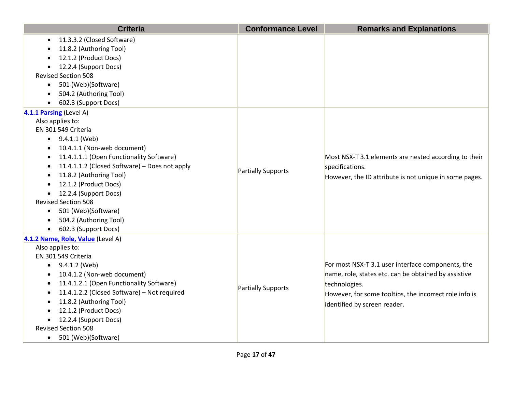| <b>Criteria</b>                               | <b>Conformance Level</b> | <b>Remarks and Explanations</b>                                          |
|-----------------------------------------------|--------------------------|--------------------------------------------------------------------------|
| 11.3.3.2 (Closed Software)<br>$\bullet$       |                          |                                                                          |
| 11.8.2 (Authoring Tool)                       |                          |                                                                          |
| 12.1.2 (Product Docs)                         |                          |                                                                          |
| 12.2.4 (Support Docs)                         |                          |                                                                          |
| <b>Revised Section 508</b>                    |                          |                                                                          |
| 501 (Web)(Software)<br>$\bullet$              |                          |                                                                          |
| 504.2 (Authoring Tool)                        |                          |                                                                          |
| 602.3 (Support Docs)                          |                          |                                                                          |
| 4.1.1 Parsing (Level A)                       |                          |                                                                          |
| Also applies to:                              |                          |                                                                          |
| EN 301 549 Criteria                           |                          |                                                                          |
| $\bullet$ 9.4.1.1 (Web)                       |                          |                                                                          |
| 10.4.1.1 (Non-web document)                   |                          | Most NSX-T 3.1 elements are nested according to their<br>specifications. |
| 11.4.1.1.1 (Open Functionality Software)      |                          |                                                                          |
| 11.4.1.1.2 (Closed Software) - Does not apply | Partially Supports       |                                                                          |
| 11.8.2 (Authoring Tool)                       |                          | However, the ID attribute is not unique in some pages.                   |
| 12.1.2 (Product Docs)                         |                          |                                                                          |
| 12.2.4 (Support Docs)                         |                          |                                                                          |
| <b>Revised Section 508</b>                    |                          |                                                                          |
| 501 (Web)(Software)<br>$\bullet$              |                          |                                                                          |
| 504.2 (Authoring Tool)                        |                          |                                                                          |
| 602.3 (Support Docs)                          |                          |                                                                          |
| 4.1.2 Name, Role, Value (Level A)             |                          |                                                                          |
| Also applies to:                              |                          |                                                                          |
| EN 301 549 Criteria                           |                          |                                                                          |
| 9.4.1.2 (Web)                                 |                          | For most NSX-T 3.1 user interface components, the                        |
| 10.4.1.2 (Non-web document)                   |                          | name, role, states etc. can be obtained by assistive                     |
| 11.4.1.2.1 (Open Functionality Software)      | Partially Supports       | technologies.                                                            |
| 11.4.1.2.2 (Closed Software) - Not required   |                          | However, for some tooltips, the incorrect role info is                   |
| 11.8.2 (Authoring Tool)                       |                          | identified by screen reader.                                             |
| 12.1.2 (Product Docs)                         |                          |                                                                          |
| 12.2.4 (Support Docs)                         |                          |                                                                          |
| <b>Revised Section 508</b>                    |                          |                                                                          |
| 501 (Web)(Software)<br>$\bullet$              |                          |                                                                          |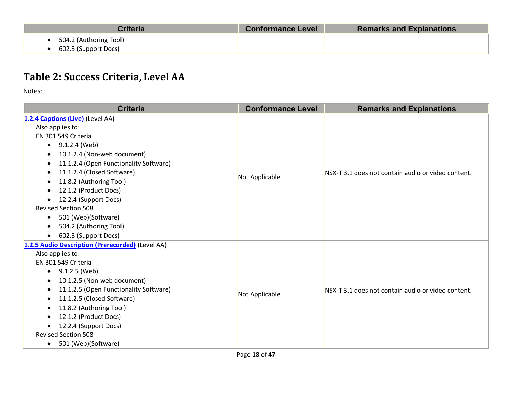| <b>Criteria</b>        | <b>Conformance Level</b> | <b>Remarks and Explanations</b> |
|------------------------|--------------------------|---------------------------------|
| 504.2 (Authoring Tool) |                          |                                 |
| 602.3 (Support Docs)   |                          |                                 |

# **Table 2: Success Criteria, Level AA**

| <b>Criteria</b>                                     | <b>Conformance Level</b> | <b>Remarks and Explanations</b>                    |
|-----------------------------------------------------|--------------------------|----------------------------------------------------|
| 1.2.4 Captions (Live) (Level AA)                    |                          |                                                    |
| Also applies to:                                    |                          | NSX-T 3.1 does not contain audio or video content. |
| EN 301 549 Criteria                                 |                          |                                                    |
| 9.1.2.4 (Web)<br>$\bullet$                          |                          |                                                    |
| 10.1.2.4 (Non-web document)                         |                          |                                                    |
| 11.1.2.4 (Open Functionality Software)<br>$\bullet$ |                          |                                                    |
| 11.1.2.4 (Closed Software)                          |                          |                                                    |
| 11.8.2 (Authoring Tool)                             | Not Applicable           |                                                    |
| 12.1.2 (Product Docs)<br>٠                          |                          |                                                    |
| 12.2.4 (Support Docs)<br>$\bullet$                  |                          |                                                    |
| <b>Revised Section 508</b>                          |                          |                                                    |
| 501 (Web)(Software)<br>$\bullet$                    |                          |                                                    |
| 504.2 (Authoring Tool)<br>$\bullet$                 |                          |                                                    |
| 602.3 (Support Docs)<br>$\bullet$                   |                          |                                                    |
| 1.2.5 Audio Description (Prerecorded) (Level AA)    |                          |                                                    |
| Also applies to:                                    |                          | NSX-T 3.1 does not contain audio or video content. |
| EN 301 549 Criteria                                 |                          |                                                    |
| 9.1.2.5 (Web)<br>$\bullet$                          |                          |                                                    |
| 10.1.2.5 (Non-web document)<br>$\bullet$            |                          |                                                    |
| 11.1.2.5 (Open Functionality Software)<br>$\bullet$ | Not Applicable           |                                                    |
| 11.1.2.5 (Closed Software)<br>$\bullet$             |                          |                                                    |
| 11.8.2 (Authoring Tool)                             |                          |                                                    |
| 12.1.2 (Product Docs)                               |                          |                                                    |
| 12.2.4 (Support Docs)<br>$\bullet$                  |                          |                                                    |
| <b>Revised Section 508</b>                          |                          |                                                    |
| 501 (Web)(Software)<br>$\bullet$                    |                          |                                                    |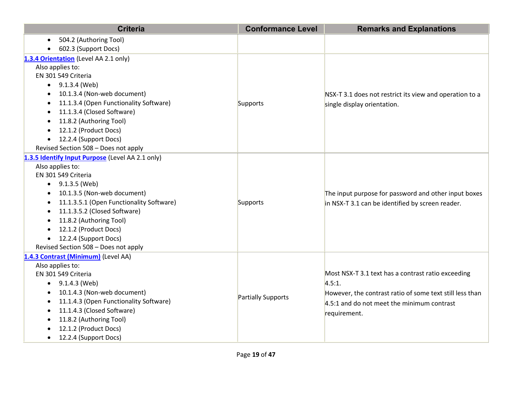| <b>Criteria</b>                                     | <b>Conformance Level</b> | <b>Remarks and Explanations</b>                                                                          |
|-----------------------------------------------------|--------------------------|----------------------------------------------------------------------------------------------------------|
| 504.2 (Authoring Tool)                              |                          |                                                                                                          |
| 602.3 (Support Docs)                                |                          |                                                                                                          |
| 1.3.4 Orientation (Level AA 2.1 only)               |                          |                                                                                                          |
| Also applies to:                                    |                          |                                                                                                          |
| EN 301 549 Criteria                                 |                          |                                                                                                          |
| $\bullet$ 9.1.3.4 (Web)                             |                          |                                                                                                          |
| 10.1.3.4 (Non-web document)                         |                          | NSX-T 3.1 does not restrict its view and operation to a                                                  |
| 11.1.3.4 (Open Functionality Software)              | Supports                 | single display orientation.                                                                              |
| 11.1.3.4 (Closed Software)                          |                          |                                                                                                          |
| 11.8.2 (Authoring Tool)                             |                          |                                                                                                          |
| 12.1.2 (Product Docs)                               |                          |                                                                                                          |
| 12.2.4 (Support Docs)<br>$\bullet$                  |                          |                                                                                                          |
| Revised Section 508 - Does not apply                |                          |                                                                                                          |
| 1.3.5 Identify Input Purpose (Level AA 2.1 only)    |                          |                                                                                                          |
| Also applies to:                                    |                          |                                                                                                          |
| EN 301 549 Criteria                                 |                          | The input purpose for password and other input boxes<br>in NSX-T 3.1 can be identified by screen reader. |
| $\bullet$ 9.1.3.5 (Web)                             |                          |                                                                                                          |
| 10.1.3.5 (Non-web document)                         |                          |                                                                                                          |
| 11.1.3.5.1 (Open Functionality Software)            | Supports                 |                                                                                                          |
| 11.1.3.5.2 (Closed Software)                        |                          |                                                                                                          |
| 11.8.2 (Authoring Tool)                             |                          |                                                                                                          |
| 12.1.2 (Product Docs)<br>$\bullet$                  |                          |                                                                                                          |
| 12.2.4 (Support Docs)<br>$\bullet$                  |                          |                                                                                                          |
| Revised Section 508 - Does not apply                |                          |                                                                                                          |
| 1.4.3 Contrast (Minimum) (Level AA)                 |                          |                                                                                                          |
| Also applies to:                                    |                          |                                                                                                          |
| EN 301 549 Criteria                                 |                          | Most NSX-T 3.1 text has a contrast ratio exceeding                                                       |
| 9.1.4.3 (Web)<br>$\bullet$                          |                          | 4.5:1.                                                                                                   |
| 10.1.4.3 (Non-web document)                         | Partially Supports       | However, the contrast ratio of some text still less than                                                 |
| 11.1.4.3 (Open Functionality Software)<br>$\bullet$ |                          | $4.5:1$ and do not meet the minimum contrast                                                             |
| 11.1.4.3 (Closed Software)                          |                          | requirement.                                                                                             |
| 11.8.2 (Authoring Tool)<br>$\bullet$                |                          |                                                                                                          |
| 12.1.2 (Product Docs)                               |                          |                                                                                                          |
| 12.2.4 (Support Docs)                               |                          |                                                                                                          |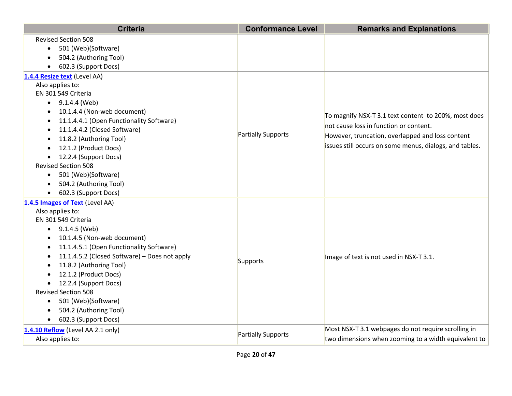| <b>Criteria</b>                               | <b>Conformance Level</b> | <b>Remarks and Explanations</b>                         |
|-----------------------------------------------|--------------------------|---------------------------------------------------------|
| <b>Revised Section 508</b>                    |                          |                                                         |
| 501 (Web)(Software)                           |                          |                                                         |
| 504.2 (Authoring Tool)                        |                          |                                                         |
| 602.3 (Support Docs)                          |                          |                                                         |
| 1.4.4 Resize text (Level AA)                  |                          |                                                         |
| Also applies to:                              |                          |                                                         |
| EN 301 549 Criteria                           |                          |                                                         |
| $\bullet$ 9.1.4.4 (Web)                       |                          |                                                         |
| 10.1.4.4 (Non-web document)                   |                          | To magnify NSX-T 3.1 text content to 200%, most does    |
| 11.1.4.4.1 (Open Functionality Software)      |                          | not cause loss in function or content.                  |
| 11.1.4.4.2 (Closed Software)                  | Partially Supports       |                                                         |
| 11.8.2 (Authoring Tool)                       |                          | However, truncation, overlapped and loss content        |
| 12.1.2 (Product Docs)                         |                          | issues still occurs on some menus, dialogs, and tables. |
| 12.2.4 (Support Docs)                         |                          |                                                         |
| <b>Revised Section 508</b>                    |                          |                                                         |
| 501 (Web)(Software)<br>$\bullet$              |                          |                                                         |
| 504.2 (Authoring Tool)                        |                          |                                                         |
| 602.3 (Support Docs)                          |                          |                                                         |
| 1.4.5 Images of Text (Level AA)               |                          |                                                         |
| Also applies to:                              |                          | Image of text is not used in NSX-T 3.1.                 |
| EN 301 549 Criteria                           |                          |                                                         |
| 9.1.4.5 (Web)                                 |                          |                                                         |
| 10.1.4.5 (Non-web document)                   |                          |                                                         |
| 11.1.4.5.1 (Open Functionality Software)      |                          |                                                         |
| 11.1.4.5.2 (Closed Software) - Does not apply | Supports                 |                                                         |
| 11.8.2 (Authoring Tool)                       |                          |                                                         |
| 12.1.2 (Product Docs)                         |                          |                                                         |
| 12.2.4 (Support Docs)                         |                          |                                                         |
| <b>Revised Section 508</b>                    |                          |                                                         |
| 501 (Web)(Software)<br>$\bullet$              |                          |                                                         |
| 504.2 (Authoring Tool)                        |                          |                                                         |
| 602.3 (Support Docs)                          |                          |                                                         |
| 1.4.10 Reflow (Level AA 2.1 only)             |                          | Most NSX-T 3.1 webpages do not require scrolling in     |
| Also applies to:                              | Partially Supports       | two dimensions when zooming to a width equivalent to    |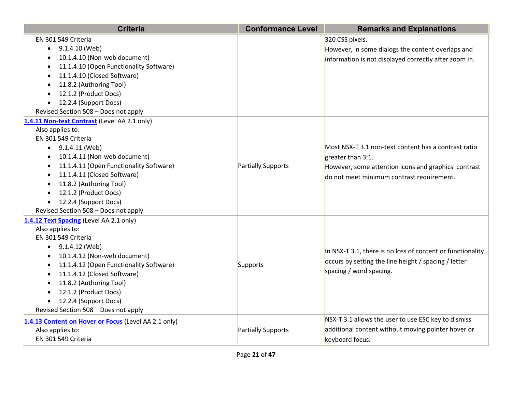| <b>Criteria</b>                                                                                                                                                                                                                                                                                                                                                    | <b>Conformance Level</b> | <b>Remarks and Explanations</b>                                                                                                                                                |
|--------------------------------------------------------------------------------------------------------------------------------------------------------------------------------------------------------------------------------------------------------------------------------------------------------------------------------------------------------------------|--------------------------|--------------------------------------------------------------------------------------------------------------------------------------------------------------------------------|
| EN 301 549 Criteria<br>9.1.4.10 (Web)<br>$\bullet$<br>10.1.4.10 (Non-web document)<br>11.1.4.10 (Open Functionality Software)<br>11.1.4.10 (Closed Software)<br>11.8.2 (Authoring Tool)<br>12.1.2 (Product Docs)<br>12.2.4 (Support Docs)<br>$\bullet$<br>Revised Section 508 - Does not apply                                                                     |                          | 320 CSS pixels.<br>However, in some dialogs the content overlaps and<br>information is not displayed correctly after zoom in.                                                  |
| 1.4.11 Non-text Contrast (Level AA 2.1 only)<br>Also applies to:<br>EN 301 549 Criteria<br>9.1.4.11 (Web)<br>$\bullet$<br>10.1.4.11 (Non-web document)<br>11.1.4.11 (Open Functionality Software)<br>11.1.4.11 (Closed Software)<br>11.8.2 (Authoring Tool)<br>12.1.2 (Product Docs)<br>12.2.4 (Support Docs)<br>$\bullet$<br>Revised Section 508 - Does not apply | Partially Supports       | Most NSX-T 3.1 non-text content has a contrast ratio<br>greater than 3:1.<br>However, some attention icons and graphics' contrast<br>do not meet minimum contrast requirement. |
| 1.4.12 Text Spacing (Level AA 2.1 only)<br>Also applies to:<br>EN 301 549 Criteria<br>9.1.4.12 (Web)<br>$\bullet$<br>10.1.4.12 (Non-web document)<br>11.1.4.12 (Open Functionality Software)<br>11.1.4.12 (Closed Software)<br>11.8.2 (Authoring Tool)<br>12.1.2 (Product Docs)<br>12.2.4 (Support Docs)<br>Revised Section 508 - Does not apply                   | Supports                 | In NSX-T 3.1, there is no loss of content or functionality<br>occurs by setting the line height / spacing / letter<br>spacing / word spacing.                                  |
| 1.4.13 Content on Hover or Focus (Level AA 2.1 only)<br>Also applies to:<br>EN 301 549 Criteria                                                                                                                                                                                                                                                                    | Partially Supports       | NSX-T 3.1 allows the user to use ESC key to dismiss<br>additional content without moving pointer hover or<br>keyboard focus.                                                   |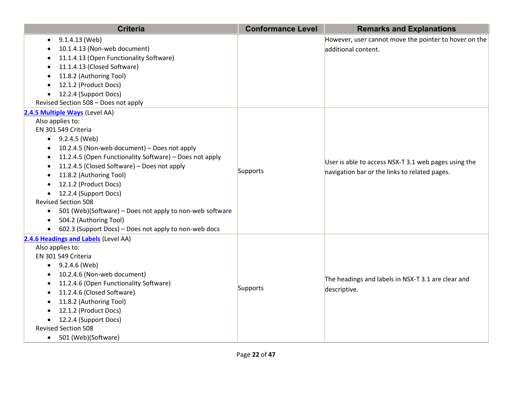| <b>Criteria</b>                                                       | <b>Conformance Level</b> | <b>Remarks and Explanations</b>                       |
|-----------------------------------------------------------------------|--------------------------|-------------------------------------------------------|
| 9.1.4.13 (Web)<br>$\bullet$                                           |                          | However, user cannot move the pointer to hover on the |
| 10.1.4.13 (Non-web document)                                          |                          | additional content.                                   |
| 11.1.4.13 (Open Functionality Software)                               |                          |                                                       |
| 11.1.4.13 (Closed Software)                                           |                          |                                                       |
| 11.8.2 (Authoring Tool)                                               |                          |                                                       |
| 12.1.2 (Product Docs)                                                 |                          |                                                       |
| 12.2.4 (Support Docs)<br>$\bullet$                                    |                          |                                                       |
| Revised Section 508 - Does not apply                                  |                          |                                                       |
| 2.4.5 Multiple Ways (Level AA)                                        |                          |                                                       |
| Also applies to:                                                      |                          |                                                       |
| EN 301 549 Criteria                                                   |                          |                                                       |
| $\bullet$ 9.2.4.5 (Web)                                               |                          |                                                       |
| 10.2.4.5 (Non-web document) - Does not apply<br>$\bullet$             |                          |                                                       |
| 11.2.4.5 (Open Functionality Software) - Does not apply<br>$\bullet$  |                          |                                                       |
| 11.2.4.5 (Closed Software) - Does not apply                           |                          | User is able to access NSX-T 3.1 web pages using the  |
| 11.8.2 (Authoring Tool)                                               | Supports                 | navigation bar or the links to related pages.         |
| 12.1.2 (Product Docs)                                                 |                          |                                                       |
| 12.2.4 (Support Docs)                                                 |                          |                                                       |
| <b>Revised Section 508</b>                                            |                          |                                                       |
| 501 (Web)(Software) - Does not apply to non-web software<br>$\bullet$ |                          |                                                       |
| 504.2 (Authoring Tool)<br>$\bullet$                                   |                          |                                                       |
| 602.3 (Support Docs) - Does not apply to non-web docs<br>$\bullet$    |                          |                                                       |
| 2.4.6 Headings and Labels (Level AA)                                  |                          |                                                       |
| Also applies to:                                                      |                          |                                                       |
| EN 301 549 Criteria                                                   |                          |                                                       |
| $\bullet$ 9.2.4.6 (Web)                                               |                          |                                                       |
| 10.2.4.6 (Non-web document)                                           |                          | The headings and labels in NSX-T 3.1 are clear and    |
| 11.2.4.6 (Open Functionality Software)                                | Supports                 |                                                       |
| 11.2.4.6 (Closed Software)                                            |                          | descriptive.                                          |
| 11.8.2 (Authoring Tool)                                               |                          |                                                       |
| 12.1.2 (Product Docs)                                                 |                          |                                                       |
| 12.2.4 (Support Docs)                                                 |                          |                                                       |
| <b>Revised Section 508</b>                                            |                          |                                                       |
| 501 (Web)(Software)<br>$\bullet$                                      |                          |                                                       |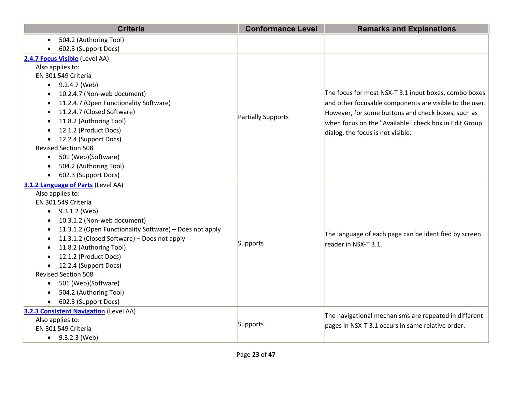| <b>Criteria</b>                                                      | <b>Conformance Level</b> | <b>Remarks and Explanations</b>                         |
|----------------------------------------------------------------------|--------------------------|---------------------------------------------------------|
| 504.2 (Authoring Tool)                                               |                          |                                                         |
| 602.3 (Support Docs)                                                 |                          |                                                         |
| 2.4.7 Focus Visible (Level AA)                                       |                          |                                                         |
| Also applies to:                                                     |                          |                                                         |
| EN 301 549 Criteria                                                  |                          |                                                         |
| $\bullet$ 9.2.4.7 (Web)                                              |                          |                                                         |
| 10.2.4.7 (Non-web document)                                          |                          | The focus for most NSX-T 3.1 input boxes, combo boxes   |
| 11.2.4.7 (Open Functionality Software)                               |                          | and other focusable components are visible to the user. |
| 11.2.4.7 (Closed Software)                                           | Partially Supports       | However, for some buttons and check boxes, such as      |
| 11.8.2 (Authoring Tool)                                              |                          | when focus on the "Available" check box in Edit Group   |
| 12.1.2 (Product Docs)                                                |                          | dialog, the focus is not visible.                       |
| 12.2.4 (Support Docs)                                                |                          |                                                         |
| <b>Revised Section 508</b>                                           |                          |                                                         |
| 501 (Web)(Software)<br>$\bullet$                                     |                          |                                                         |
| 504.2 (Authoring Tool)<br>$\bullet$                                  |                          |                                                         |
| 602.3 (Support Docs)                                                 |                          |                                                         |
| 3.1.2 Language of Parts (Level AA)                                   |                          |                                                         |
| Also applies to:                                                     |                          | The language of each page can be identified by screen   |
| EN 301 549 Criteria                                                  |                          |                                                         |
| 9.3.1.2 (Web)<br>$\bullet$                                           |                          |                                                         |
| 10.3.1.2 (Non-web document)                                          |                          |                                                         |
| 11.3.1.2 (Open Functionality Software) - Does not apply<br>$\bullet$ |                          |                                                         |
| 11.3.1.2 (Closed Software) - Does not apply<br>$\bullet$             | Supports                 | reader in NSX-T 3.1.                                    |
| 11.8.2 (Authoring Tool)                                              |                          |                                                         |
| 12.1.2 (Product Docs)                                                |                          |                                                         |
| 12.2.4 (Support Docs)                                                |                          |                                                         |
| <b>Revised Section 508</b>                                           |                          |                                                         |
| 501 (Web)(Software)<br>$\bullet$                                     |                          |                                                         |
| 504.2 (Authoring Tool)                                               |                          |                                                         |
| 602.3 (Support Docs)                                                 |                          |                                                         |
| 3.2.3 Consistent Navigation (Level AA)                               |                          | The navigational mechanisms are repeated in different   |
| Also applies to:                                                     | Supports                 | pages in NSX-T 3.1 occurs in same relative order.       |
| EN 301 549 Criteria                                                  |                          |                                                         |
| $\bullet$ 9.3.2.3 (Web)                                              |                          |                                                         |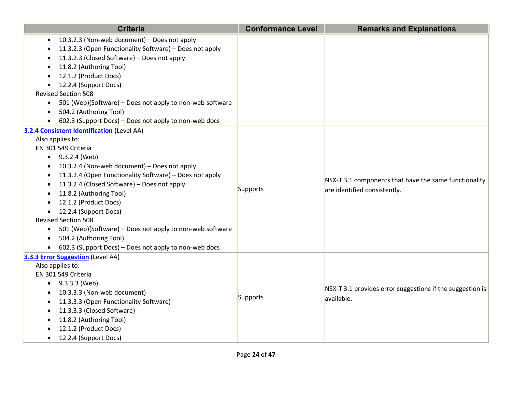| <b>Criteria</b>                                                                                                                                                                                                                                                                                                                                                                                                                                                                                                                                                             | <b>Conformance Level</b> | <b>Remarks and Explanations</b>                                                       |
|-----------------------------------------------------------------------------------------------------------------------------------------------------------------------------------------------------------------------------------------------------------------------------------------------------------------------------------------------------------------------------------------------------------------------------------------------------------------------------------------------------------------------------------------------------------------------------|--------------------------|---------------------------------------------------------------------------------------|
| 10.3.2.3 (Non-web document) - Does not apply<br>$\bullet$<br>11.3.2.3 (Open Functionality Software) - Does not apply<br>11.3.2.3 (Closed Software) - Does not apply<br>11.8.2 (Authoring Tool)<br>12.1.2 (Product Docs)<br>12.2.4 (Support Docs)<br><b>Revised Section 508</b><br>501 (Web)(Software) - Does not apply to non-web software<br>504.2 (Authoring Tool)<br>602.3 (Support Docs) - Does not apply to non-web docs                                                                                                                                               |                          |                                                                                       |
| 3.2.4 Consistent Identification (Level AA)<br>Also applies to:<br>EN 301 549 Criteria<br>$\bullet$ 9.3.2.4 (Web)<br>10.3.2.4 (Non-web document) - Does not apply<br>$\bullet$<br>11.3.2.4 (Open Functionality Software) - Does not apply<br>11.3.2.4 (Closed Software) - Does not apply<br>11.8.2 (Authoring Tool)<br>12.1.2 (Product Docs)<br>12.2.4 (Support Docs)<br><b>Revised Section 508</b><br>501 (Web)(Software) - Does not apply to non-web software<br>$\bullet$<br>504.2 (Authoring Tool)<br>$\bullet$<br>602.3 (Support Docs) - Does not apply to non-web docs | Supports                 | NSX-T 3.1 components that have the same functionality<br>are identified consistently. |
| 3.3.3 Error Suggestion (Level AA)<br>Also applies to:<br>EN 301 549 Criteria<br>• $9.3.3.3$ (Web)<br>10.3.3.3 (Non-web document)<br>11.3.3.3 (Open Functionality Software)<br>11.3.3.3 (Closed Software)<br>11.8.2 (Authoring Tool)<br>12.1.2 (Product Docs)<br>12.2.4 (Support Docs)                                                                                                                                                                                                                                                                                       | Supports                 | NSX-T 3.1 provides error suggestions if the suggestion is<br>available.               |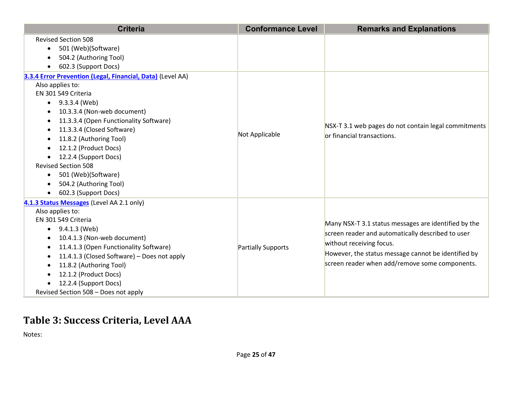| <b>Criteria</b>                                                                                                                                                                                                                                                                                                                                                                                                                                                    | <b>Conformance Level</b>  | <b>Remarks and Explanations</b>                                                                                                                                                                                                                |
|--------------------------------------------------------------------------------------------------------------------------------------------------------------------------------------------------------------------------------------------------------------------------------------------------------------------------------------------------------------------------------------------------------------------------------------------------------------------|---------------------------|------------------------------------------------------------------------------------------------------------------------------------------------------------------------------------------------------------------------------------------------|
| <b>Revised Section 508</b><br>501 (Web)(Software)<br>$\bullet$<br>504.2 (Authoring Tool)<br>602.3 (Support Docs)                                                                                                                                                                                                                                                                                                                                                   |                           |                                                                                                                                                                                                                                                |
| 3.3.4 Error Prevention (Legal, Financial, Data) (Level AA)<br>Also applies to:<br>EN 301 549 Criteria<br>$\bullet$ 9.3.3.4 (Web)<br>10.3.3.4 (Non-web document)<br>11.3.3.4 (Open Functionality Software)<br>$\bullet$<br>11.3.3.4 (Closed Software)<br>11.8.2 (Authoring Tool)<br>12.1.2 (Product Docs)<br>12.2.4 (Support Docs)<br><b>Revised Section 508</b><br>501 (Web)(Software)<br>$\bullet$<br>504.2 (Authoring Tool)<br>602.3 (Support Docs)<br>$\bullet$ | Not Applicable            | NSX-T 3.1 web pages do not contain legal commitments<br>or financial transactions.                                                                                                                                                             |
| 4.1.3 Status Messages (Level AA 2.1 only)<br>Also applies to:<br>EN 301 549 Criteria<br>9.4.1.3 (Web)<br>$\bullet$<br>10.4.1.3 (Non-web document)<br>11.4.1.3 (Open Functionality Software)<br>٠<br>11.4.1.3 (Closed Software) - Does not apply<br>$\bullet$<br>11.8.2 (Authoring Tool)<br>$\bullet$<br>12.1.2 (Product Docs)<br>12.2.4 (Support Docs)<br>Revised Section 508 - Does not apply                                                                     | <b>Partially Supports</b> | Many NSX-T 3.1 status messages are identified by the<br>screen reader and automatically described to user<br>without receiving focus.<br>However, the status message cannot be identified by<br>screen reader when add/remove some components. |

## **Table 3: Success Criteria, Level AAA**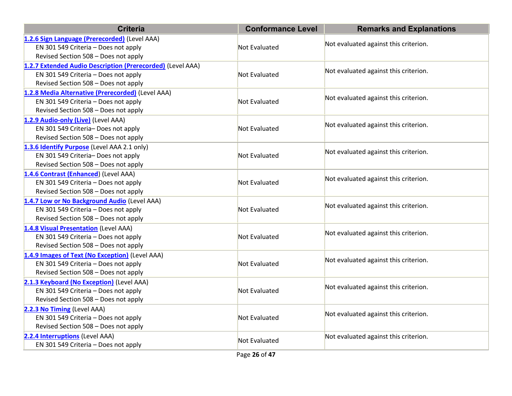| <b>Criteria</b>                                            | <b>Conformance Level</b> | <b>Remarks and Explanations</b>       |
|------------------------------------------------------------|--------------------------|---------------------------------------|
| 1.2.6 Sign Language (Prerecorded) (Level AAA)              |                          | Not evaluated against this criterion. |
| EN 301 549 Criteria - Does not apply                       | Not Evaluated            |                                       |
| Revised Section 508 - Does not apply                       |                          |                                       |
| 1.2.7 Extended Audio Description (Prerecorded) (Level AAA) |                          |                                       |
| EN 301 549 Criteria - Does not apply                       | Not Evaluated            | Not evaluated against this criterion. |
| Revised Section 508 - Does not apply                       |                          |                                       |
| 1.2.8 Media Alternative (Prerecorded) (Level AAA)          |                          |                                       |
| EN 301 549 Criteria - Does not apply                       | Not Evaluated            | Not evaluated against this criterion. |
| Revised Section 508 - Does not apply                       |                          |                                       |
| 1.2.9 Audio-only (Live) (Level AAA)                        |                          |                                       |
| EN 301 549 Criteria- Does not apply                        | Not Evaluated            | Not evaluated against this criterion. |
| Revised Section 508 - Does not apply                       |                          |                                       |
| 1.3.6 Identify Purpose (Level AAA 2.1 only)                |                          |                                       |
| EN 301 549 Criteria- Does not apply                        | Not Evaluated            | Not evaluated against this criterion. |
| Revised Section 508 - Does not apply                       |                          |                                       |
| 1.4.6 Contrast (Enhanced) (Level AAA)                      |                          |                                       |
| EN 301 549 Criteria - Does not apply                       | Not Evaluated            | Not evaluated against this criterion. |
| Revised Section 508 - Does not apply                       |                          |                                       |
| 1.4.7 Low or No Background Audio (Level AAA)               |                          | Not evaluated against this criterion. |
| EN 301 549 Criteria - Does not apply                       | Not Evaluated            |                                       |
| Revised Section 508 - Does not apply                       |                          |                                       |
| 1.4.8 Visual Presentation (Level AAA)                      | Not Evaluated            | Not evaluated against this criterion. |
| EN 301 549 Criteria - Does not apply                       |                          |                                       |
| Revised Section 508 - Does not apply                       |                          |                                       |
| 1.4.9 Images of Text (No Exception) (Level AAA)            |                          | Not evaluated against this criterion. |
| EN 301 549 Criteria - Does not apply                       | Not Evaluated            |                                       |
| Revised Section 508 - Does not apply                       |                          |                                       |
| 2.1.3 Keyboard (No Exception) (Level AAA)                  |                          | Not evaluated against this criterion. |
| EN 301 549 Criteria - Does not apply                       | Not Evaluated            |                                       |
| Revised Section 508 - Does not apply                       |                          |                                       |
| 2.2.3 No Timing (Level AAA)                                |                          |                                       |
| EN 301 549 Criteria - Does not apply                       | Not Evaluated            | Not evaluated against this criterion. |
| Revised Section 508 - Does not apply                       |                          |                                       |
| 2.2.4 Interruptions (Level AAA)                            | Not Evaluated            | Not evaluated against this criterion. |
| EN 301 549 Criteria - Does not apply                       |                          |                                       |
|                                                            | Page 26 of 47            |                                       |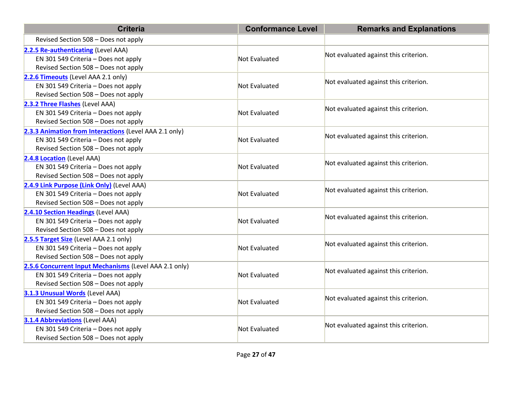| <b>Criteria</b>                                        | <b>Conformance Level</b> | <b>Remarks and Explanations</b>       |  |
|--------------------------------------------------------|--------------------------|---------------------------------------|--|
| Revised Section 508 - Does not apply                   |                          |                                       |  |
| 2.2.5 Re-authenticating (Level AAA)                    |                          | Not evaluated against this criterion. |  |
| EN 301 549 Criteria - Does not apply                   | Not Evaluated            |                                       |  |
| Revised Section 508 - Does not apply                   |                          |                                       |  |
| 2.2.6 Timeouts (Level AAA 2.1 only)                    |                          | Not evaluated against this criterion. |  |
| EN 301 549 Criteria - Does not apply                   | Not Evaluated            |                                       |  |
| Revised Section 508 - Does not apply                   |                          |                                       |  |
| 2.3.2 Three Flashes (Level AAA)                        |                          | Not evaluated against this criterion. |  |
| EN 301 549 Criteria - Does not apply                   | Not Evaluated            |                                       |  |
| Revised Section 508 - Does not apply                   |                          |                                       |  |
| 2.3.3 Animation from Interactions (Level AAA 2.1 only) |                          |                                       |  |
| EN 301 549 Criteria - Does not apply                   | Not Evaluated            | Not evaluated against this criterion. |  |
| Revised Section 508 - Does not apply                   |                          |                                       |  |
| 2.4.8 Location (Level AAA)                             |                          |                                       |  |
| EN 301 549 Criteria - Does not apply                   | Not Evaluated            | Not evaluated against this criterion. |  |
| Revised Section 508 - Does not apply                   |                          |                                       |  |
| 2.4.9 Link Purpose (Link Only) (Level AAA)             |                          |                                       |  |
| EN 301 549 Criteria - Does not apply                   | Not Evaluated            | Not evaluated against this criterion. |  |
| Revised Section 508 - Does not apply                   |                          |                                       |  |
| 2.4.10 Section Headings (Level AAA)                    |                          |                                       |  |
| EN 301 549 Criteria - Does not apply                   | Not Evaluated            | Not evaluated against this criterion. |  |
| Revised Section 508 - Does not apply                   |                          |                                       |  |
| 2.5.5 Target Size (Level AAA 2.1 only)                 |                          |                                       |  |
| EN 301 549 Criteria - Does not apply                   | Not Evaluated            | Not evaluated against this criterion. |  |
| Revised Section 508 - Does not apply                   |                          |                                       |  |
| 2.5.6 Concurrent Input Mechanisms (Level AAA 2.1 only) |                          |                                       |  |
| EN 301 549 Criteria - Does not apply                   | Not Evaluated            | Not evaluated against this criterion. |  |
| Revised Section 508 - Does not apply                   |                          |                                       |  |
| 3.1.3 Unusual Words (Level AAA)                        |                          |                                       |  |
| EN 301 549 Criteria - Does not apply                   | Not Evaluated            | Not evaluated against this criterion. |  |
| Revised Section 508 - Does not apply                   |                          |                                       |  |
| 3.1.4 Abbreviations (Level AAA)                        |                          |                                       |  |
| EN 301 549 Criteria - Does not apply                   | Not Evaluated            | Not evaluated against this criterion. |  |
| Revised Section 508 - Does not apply                   |                          |                                       |  |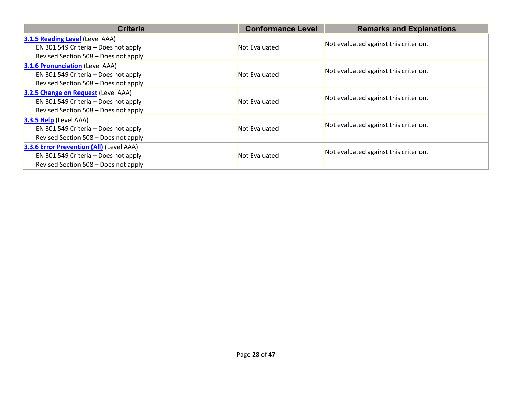| <b>Criteria</b>                          | <b>Conformance Level</b> | <b>Remarks and Explanations</b>       |  |
|------------------------------------------|--------------------------|---------------------------------------|--|
| 3.1.5 Reading Level (Level AAA)          |                          |                                       |  |
| EN 301 549 Criteria - Does not apply     | Not Evaluated            | Not evaluated against this criterion. |  |
| Revised Section 508 - Does not apply     |                          |                                       |  |
| 3.1.6 Pronunciation (Level AAA)          |                          |                                       |  |
| EN 301 549 Criteria - Does not apply     | Not Evaluated            | Not evaluated against this criterion. |  |
| Revised Section 508 - Does not apply     |                          |                                       |  |
| 3.2.5 Change on Request (Level AAA)      |                          |                                       |  |
| EN 301 549 Criteria - Does not apply     | Not Evaluated            | Not evaluated against this criterion. |  |
| Revised Section 508 - Does not apply     |                          |                                       |  |
| 3.3.5 Help (Level AAA)                   |                          |                                       |  |
| EN 301 549 Criteria - Does not apply     | Not Evaluated            | Not evaluated against this criterion. |  |
| Revised Section 508 - Does not apply     |                          |                                       |  |
| 3.3.6 Error Prevention (All) (Level AAA) |                          |                                       |  |
| EN 301 549 Criteria - Does not apply     | Not Evaluated            | Not evaluated against this criterion. |  |
| Revised Section 508 - Does not apply     |                          |                                       |  |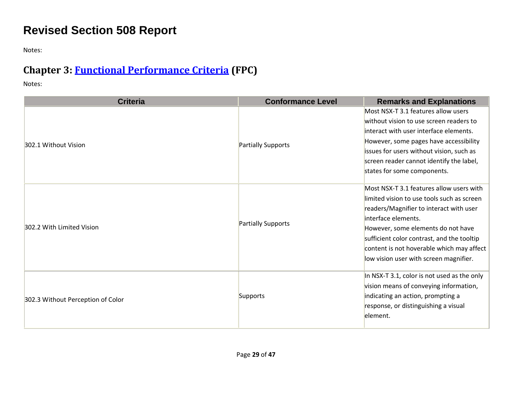## **Revised Section 508 Report**

Notes:

## **Chapter 3: [Functional Performance Criteria](https://www.access-board.gov/guidelines-and-standards/communications-and-it/about-the-ict-refresh/final-rule/text-of-the-standards-and-guidelines#302-functional-performance-criteria) (FPC)**

| <b>Criteria</b>                   | <b>Conformance Level</b> | <b>Remarks and Explanations</b>                                                                                                                                                                                                                                                                                                     |
|-----------------------------------|--------------------------|-------------------------------------------------------------------------------------------------------------------------------------------------------------------------------------------------------------------------------------------------------------------------------------------------------------------------------------|
| 302.1 Without Vision              | Partially Supports       | Most NSX-T 3.1 features allow users<br>without vision to use screen readers to<br>interact with user interface elements.<br>However, some pages have accessibility<br>issues for users without vision, such as<br>screen reader cannot identify the label,<br>states for some components.                                           |
| 302.2 With Limited Vision         | Partially Supports       | Most NSX-T 3.1 features allow users with<br>limited vision to use tools such as screen<br>readers/Magnifier to interact with user<br>interface elements.<br>However, some elements do not have<br>sufficient color contrast, and the tooltip<br>content is not hoverable which may affect<br>low vision user with screen magnifier. |
| 302.3 Without Perception of Color | Supports                 | In NSX-T 3.1, color is not used as the only<br>vision means of conveying information,<br>indicating an action, prompting a<br>response, or distinguishing a visual<br>element.                                                                                                                                                      |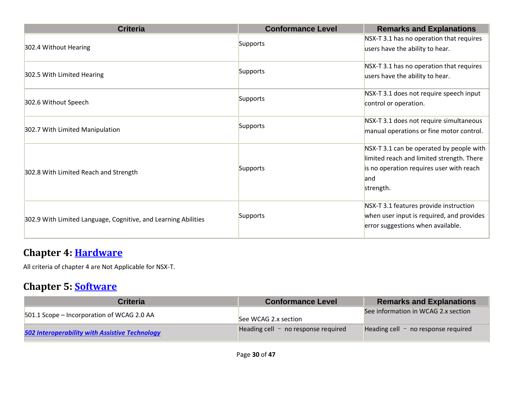| <b>Criteria</b>                                                | <b>Conformance Level</b> | <b>Remarks and Explanations</b>                                                                                                                        |
|----------------------------------------------------------------|--------------------------|--------------------------------------------------------------------------------------------------------------------------------------------------------|
| 302.4 Without Hearing                                          | Supports                 | NSX-T 3.1 has no operation that requires<br>users have the ability to hear.                                                                            |
| 302.5 With Limited Hearing                                     | Supports                 | NSX-T 3.1 has no operation that requires<br>users have the ability to hear.                                                                            |
| 302.6 Without Speech                                           | Supports                 | NSX-T 3.1 does not require speech input<br>control or operation.                                                                                       |
| 302.7 With Limited Manipulation                                | Supports                 | NSX-T 3.1 does not require simultaneous<br>manual operations or fine motor control.                                                                    |
| 302.8 With Limited Reach and Strength                          | Supports                 | NSX-T 3.1 can be operated by people with<br>limited reach and limited strength. There<br>is no operation requires user with reach<br>land<br>strength. |
| 302.9 With Limited Language, Cognitive, and Learning Abilities | Supports                 | NSX-T 3.1 features provide instruction<br>when user input is required, and provides<br>error suggestions when available.                               |

#### **Chapter 4: [Hardware](https://www.access-board.gov/guidelines-and-standards/communications-and-it/about-the-ict-refresh/final-rule/text-of-the-standards-and-guidelines#401-general)**

All criteria of chapter 4 are Not Applicable for NSX-T.

#### **Chapter 5: [Software](https://www.access-board.gov/guidelines-and-standards/communications-and-it/about-the-ict-refresh/final-rule/text-of-the-standards-and-guidelines#501-general)**

| <b>Criteria</b>                                       | <b>Conformance Level</b>              | <b>Remarks and Explanations</b>       |
|-------------------------------------------------------|---------------------------------------|---------------------------------------|
| 501.1 Scope - Incorporation of WCAG 2.0 AA            | See WCAG 2.x section                  | See information in WCAG 2.x section   |
| <b>502 Interoperability with Assistive Technology</b> | Heading cell $-$ no response required | Heading cell $-$ no response required |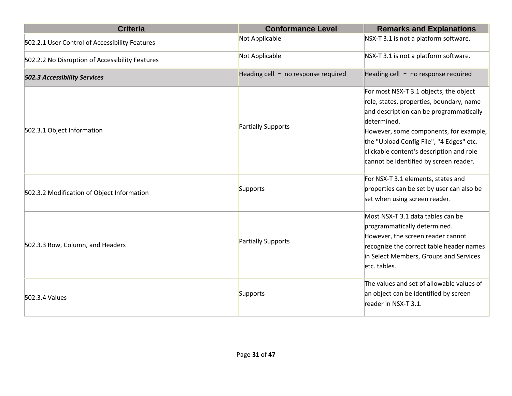| <b>Criteria</b>                                 | <b>Conformance Level</b>              | <b>Remarks and Explanations</b>                                                                                                                                                                                                                                                                                          |
|-------------------------------------------------|---------------------------------------|--------------------------------------------------------------------------------------------------------------------------------------------------------------------------------------------------------------------------------------------------------------------------------------------------------------------------|
| 502.2.1 User Control of Accessibility Features  | Not Applicable                        | NSX-T 3.1 is not a platform software.                                                                                                                                                                                                                                                                                    |
| 502.2.2 No Disruption of Accessibility Features | Not Applicable                        | NSX-T 3.1 is not a platform software.                                                                                                                                                                                                                                                                                    |
| <b>502.3 Accessibility Services</b>             | Heading cell $-$ no response required | Heading cell $-$ no response required                                                                                                                                                                                                                                                                                    |
| 502.3.1 Object Information                      | Partially Supports                    | For most NSX-T 3.1 objects, the object<br>role, states, properties, boundary, name<br>and description can be programmatically<br>determined.<br>However, some components, for example,<br>the "Upload Config File", "4 Edges" etc.<br>clickable content's description and role<br>cannot be identified by screen reader. |
| 502.3.2 Modification of Object Information      | Supports                              | For NSX-T 3.1 elements, states and<br>properties can be set by user can also be<br>set when using screen reader.                                                                                                                                                                                                         |
| 502.3.3 Row, Column, and Headers                | Partially Supports                    | Most NSX-T 3.1 data tables can be<br>programmatically determined.<br>However, the screen reader cannot<br>recognize the correct table header names<br>in Select Members, Groups and Services<br>etc. tables.                                                                                                             |
| 502.3.4 Values                                  | Supports                              | The values and set of allowable values of<br>an object can be identified by screen<br>reader in NSX-T 3.1.                                                                                                                                                                                                               |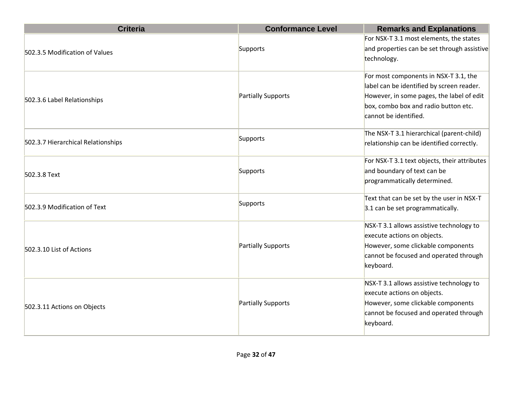| <b>Criteria</b>                    | <b>Conformance Level</b>  | <b>Remarks and Explanations</b>              |
|------------------------------------|---------------------------|----------------------------------------------|
|                                    |                           | For NSX-T 3.1 most elements, the states      |
| 502.3.5 Modification of Values     | Supports                  | and properties can be set through assistive  |
|                                    |                           | technology.                                  |
|                                    |                           | For most components in NSX-T 3.1, the        |
|                                    |                           | label can be identified by screen reader.    |
| 502.3.6 Label Relationships        | <b>Partially Supports</b> | However, in some pages, the label of edit    |
|                                    |                           | box, combo box and radio button etc.         |
|                                    |                           | cannot be identified.                        |
|                                    | Supports                  | The NSX-T 3.1 hierarchical (parent-child)    |
| 502.3.7 Hierarchical Relationships |                           | relationship can be identified correctly.    |
|                                    |                           | For NSX-T 3.1 text objects, their attributes |
| 502.3.8 Text                       | Supports                  | and boundary of text can be                  |
|                                    |                           | programmatically determined.                 |
|                                    |                           | Text that can be set by the user in NSX-T    |
| 502.3.9 Modification of Text       | Supports                  | 3.1 can be set programmatically.             |
|                                    |                           | NSX-T 3.1 allows assistive technology to     |
|                                    | Partially Supports        | execute actions on objects.                  |
| 502.3.10 List of Actions           |                           | However, some clickable components           |
|                                    |                           | cannot be focused and operated through       |
|                                    |                           | keyboard.                                    |
|                                    |                           | NSX-T 3.1 allows assistive technology to     |
| 502.3.11 Actions on Objects        | <b>Partially Supports</b> | execute actions on objects.                  |
|                                    |                           | However, some clickable components           |
|                                    |                           | cannot be focused and operated through       |
|                                    |                           | keyboard.                                    |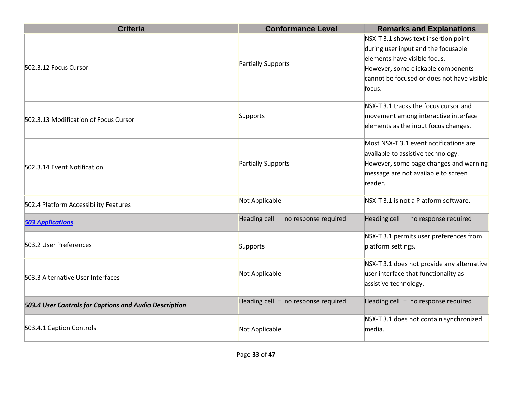| <b>Criteria</b>                                        | <b>Conformance Level</b>              | <b>Remarks and Explanations</b>                                                                                                                                                                           |
|--------------------------------------------------------|---------------------------------------|-----------------------------------------------------------------------------------------------------------------------------------------------------------------------------------------------------------|
| 502.3.12 Focus Cursor                                  | Partially Supports                    | NSX-T 3.1 shows text insertion point<br>during user input and the focusable<br>elements have visible focus.<br>However, some clickable components<br>cannot be focused or does not have visible<br>focus. |
| 502.3.13 Modification of Focus Cursor                  | Supports                              | NSX-T 3.1 tracks the focus cursor and<br>movement among interactive interface<br>elements as the input focus changes.                                                                                     |
| 502.3.14 Event Notification                            | Partially Supports                    | Most NSX-T 3.1 event notifications are<br>available to assistive technology.<br>However, some page changes and warning<br>message are not available to screen<br>reader.                                  |
| 502.4 Platform Accessibility Features                  | Not Applicable                        | NSX-T 3.1 is not a Platform software.                                                                                                                                                                     |
| <b>503 Applications</b>                                | Heading cell $-$ no response required | Heading cell $-$ no response required                                                                                                                                                                     |
| 503.2 User Preferences                                 | Supports                              | NSX-T 3.1 permits user preferences from<br>platform settings.                                                                                                                                             |
| 503.3 Alternative User Interfaces                      | Not Applicable                        | NSX-T 3.1 does not provide any alternative<br>user interface that functionality as<br>assistive technology.                                                                                               |
| 503.4 User Controls for Captions and Audio Description | Heading cell $-$ no response required | Heading cell $-$ no response required                                                                                                                                                                     |
| 503.4.1 Caption Controls                               | Not Applicable                        | NSX-T 3.1 does not contain synchronized<br>media.                                                                                                                                                         |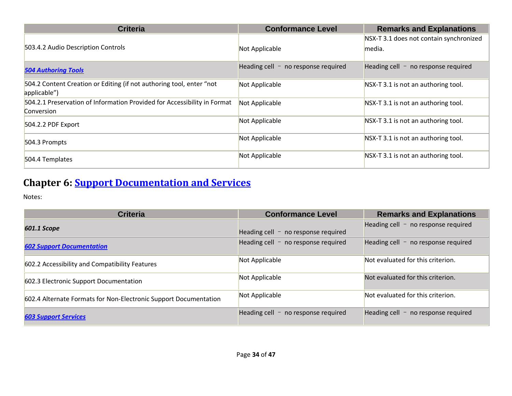| <b>Criteria</b>                                                                        | <b>Conformance Level</b>                 | <b>Remarks and Explanations</b>                   |
|----------------------------------------------------------------------------------------|------------------------------------------|---------------------------------------------------|
| 503.4.2 Audio Description Controls                                                     | Not Applicable                           | NSX-T 3.1 does not contain synchronized<br>media. |
| <b>504 Authoring Tools</b>                                                             | Heading cell $-$<br>no response required | Heading cell $-$ no response required             |
| 504.2 Content Creation or Editing (if not authoring tool, enter "not<br>applicable")   | Not Applicable                           | NSX-T 3.1 is not an authoring tool.               |
| 504.2.1 Preservation of Information Provided for Accessibility in Format<br>Conversion | Not Applicable                           | NSX-T 3.1 is not an authoring tool.               |
| 504.2.2 PDF Export                                                                     | Not Applicable                           | NSX-T 3.1 is not an authoring tool.               |
| 504.3 Prompts                                                                          | Not Applicable                           | NSX-T 3.1 is not an authoring tool.               |
| 504.4 Templates                                                                        | Not Applicable                           | NSX-T 3.1 is not an authoring tool.               |

## **Chapter 6: [Support Documentation and Services](https://www.access-board.gov/guidelines-and-standards/communications-and-it/about-the-ict-refresh/final-rule/text-of-the-standards-and-guidelines#601-general)**

| <b>Criteria</b>                                                  | <b>Conformance Level</b>              | <b>Remarks and Explanations</b>       |
|------------------------------------------------------------------|---------------------------------------|---------------------------------------|
| 601.1 Scope                                                      | Heading cell $-$ no response required | Heading cell $-$ no response required |
| <b>602 Support Documentation</b>                                 | Heading cell $-$ no response required | Heading cell $-$ no response required |
| 602.2 Accessibility and Compatibility Features                   | Not Applicable                        | Not evaluated for this criterion.     |
| 602.3 Electronic Support Documentation                           | Not Applicable                        | Not evaluated for this criterion.     |
| 602.4 Alternate Formats for Non-Electronic Support Documentation | Not Applicable                        | Not evaluated for this criterion.     |
| <b>603 Support Services</b>                                      | Heading cell $-$ no response required | Heading cell $-$ no response required |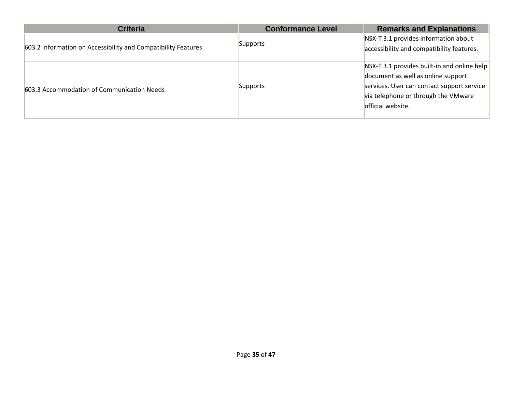| <b>Criteria</b>                                               | <b>Conformance Level</b> | <b>Remarks and Explanations</b>                                                                                                                                                             |
|---------------------------------------------------------------|--------------------------|---------------------------------------------------------------------------------------------------------------------------------------------------------------------------------------------|
| 603.2 Information on Accessibility and Compatibility Features | Supports                 | NSX-T 3.1 provides information about<br>accessibility and compatibility features.                                                                                                           |
| 603.3 Accommodation of Communication Needs                    | Supports                 | NSX-T 3.1 provides built-in and online help<br>document as well as online support<br>services. User can contact support service<br>via telephone or through the VMware<br>official website. |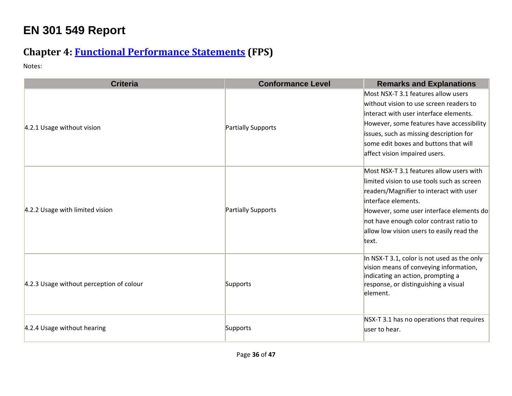# **EN 301 549 Report**

## **Chapter 4: [Functional Performance Statements](https://www.etsi.org/deliver/etsi_en/301500_301599/301549/03.01.01_60/en_301549v030101p.pdf#%5B%7B%22num%22%3A38%2C%22gen%22%3A0%7D%2C%7B%22name%22%3A%22XYZ%22%7D%2C54%2C747%2C0%5D) (FPS)**

| <b>Criteria</b>                          | <b>Conformance Level</b> | <b>Remarks and Explanations</b>                                                                                                                                                                                                                                                                       |
|------------------------------------------|--------------------------|-------------------------------------------------------------------------------------------------------------------------------------------------------------------------------------------------------------------------------------------------------------------------------------------------------|
| 4.2.1 Usage without vision               | Partially Supports       | Most NSX-T 3.1 features allow users<br>without vision to use screen readers to<br>interact with user interface elements.<br>However, some features have accessibility<br>issues, such as missing description for<br>some edit boxes and buttons that will<br>affect vision impaired users.            |
| 4.2.2 Usage with limited vision          | Partially Supports       | Most NSX-T 3.1 features allow users with<br>limited vision to use tools such as screen<br>readers/Magnifier to interact with user<br>interface elements.<br>However, some user interface elements do<br>not have enough color contrast ratio to<br>allow low vision users to easily read the<br>text. |
| 4.2.3 Usage without perception of colour | Supports                 | In NSX-T 3.1, color is not used as the only<br>vision means of conveying information,<br>indicating an action, prompting a<br>response, or distinguishing a visual<br>element.                                                                                                                        |
| 4.2.4 Usage without hearing              | Supports                 | NSX-T 3.1 has no operations that requires<br>user to hear.                                                                                                                                                                                                                                            |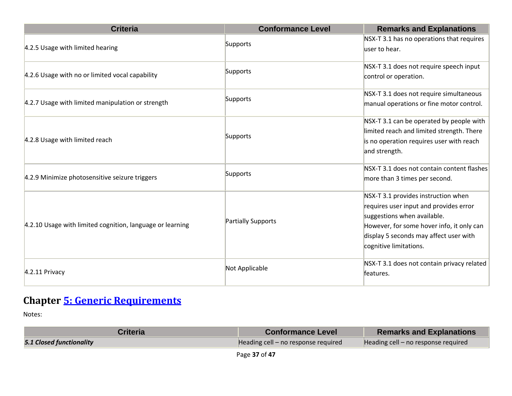| <b>Criteria</b>                                           | <b>Conformance Level</b> | <b>Remarks and Explanations</b>                                                                                                                                                                                               |
|-----------------------------------------------------------|--------------------------|-------------------------------------------------------------------------------------------------------------------------------------------------------------------------------------------------------------------------------|
| 4.2.5 Usage with limited hearing                          | Supports                 | NSX-T 3.1 has no operations that requires<br>user to hear.                                                                                                                                                                    |
| 4.2.6 Usage with no or limited vocal capability           | Supports                 | NSX-T 3.1 does not require speech input<br>control or operation.                                                                                                                                                              |
| 4.2.7 Usage with limited manipulation or strength         | Supports                 | NSX-T 3.1 does not require simultaneous<br>manual operations or fine motor control.                                                                                                                                           |
| 4.2.8 Usage with limited reach                            | Supports                 | NSX-T 3.1 can be operated by people with<br>limited reach and limited strength. There<br>is no operation requires user with reach<br>and strength.                                                                            |
| 4.2.9 Minimize photosensitive seizure triggers            | Supports                 | NSX-T 3.1 does not contain content flashes<br>more than 3 times per second.                                                                                                                                                   |
| 4.2.10 Usage with limited cognition, language or learning | Partially Supports       | NSX-T 3.1 provides instruction when<br>requires user input and provides error<br>suggestions when available.<br>However, for some hover info, it only can<br>display 5 seconds may affect user with<br>cognitive limitations. |
| $4.2.11$ Privacy                                          | Not Applicable           | NSX-T 3.1 does not contain privacy related<br>features.                                                                                                                                                                       |

## **Chapter [5: Generic Requirements](https://www.etsi.org/deliver/etsi_en/301500_301599/301549/03.01.01_60/en_301549v030101p.pdf#%5B%7B%22num%22%3A45%2C%22gen%22%3A0%7D%2C%7B%22name%22%3A%22XYZ%22%7D%2C54%2C747%2C0%5D)**

| Criteria                        | <b>Conformance Level</b>            | <b>Remarks and Explanations</b>     |
|---------------------------------|-------------------------------------|-------------------------------------|
| <b>5.1 Closed functionality</b> | Heading cell - no response required | Heading cell – no response required |
|                                 |                                     |                                     |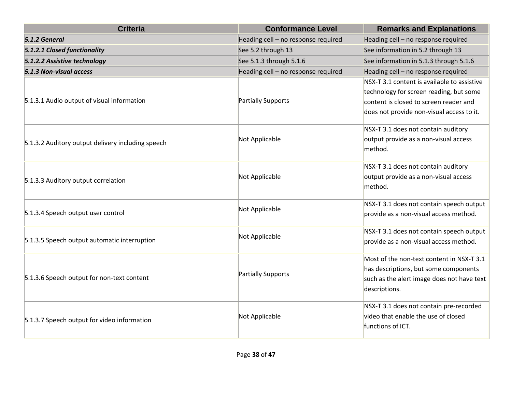| <b>Criteria</b>                                   | <b>Conformance Level</b>            | <b>Remarks and Explanations</b>                |
|---------------------------------------------------|-------------------------------------|------------------------------------------------|
| 5.1.2 General                                     | Heading cell - no response required | Heading cell - no response required            |
| 5.1.2.1 Closed functionality                      | See 5.2 through 13                  | See information in 5.2 through 13              |
| 5.1.2.2 Assistive technology                      | See 5.1.3 through 5.1.6             | See information in 5.1.3 through 5.1.6         |
| 5.1.3 Non-visual access                           | Heading cell - no response required | Heading cell - no response required            |
|                                                   |                                     | $N$ SX-T 3.1 content is available to assistive |
|                                                   |                                     | technology for screen reading, but some        |
| 5.1.3.1 Audio output of visual information        | Partially Supports                  | content is closed to screen reader and         |
|                                                   |                                     | does not provide non-visual access to it.      |
|                                                   |                                     | NSX-T 3.1 does not contain auditory            |
| 5.1.3.2 Auditory output delivery including speech | Not Applicable                      | output provide as a non-visual access          |
|                                                   |                                     | method.                                        |
|                                                   |                                     | NSX-T 3.1 does not contain auditory            |
| 5.1.3.3 Auditory output correlation               | Not Applicable                      | output provide as a non-visual access          |
|                                                   |                                     | method.                                        |
|                                                   |                                     | NSX-T 3.1 does not contain speech output       |
| 5.1.3.4 Speech output user control                | Not Applicable                      | provide as a non-visual access method.         |
|                                                   |                                     | NSX-T 3.1 does not contain speech output       |
| 5.1.3.5 Speech output automatic interruption      | Not Applicable                      | provide as a non-visual access method.         |
|                                                   |                                     | Most of the non-text content in NSX-T 3.1      |
|                                                   | Partially Supports                  | has descriptions, but some components          |
| 5.1.3.6 Speech output for non-text content        |                                     | such as the alert image does not have text     |
|                                                   |                                     | descriptions.                                  |
|                                                   |                                     | NSX-T 3.1 does not contain pre-recorded        |
| 5.1.3.7 Speech output for video information       | Not Applicable                      | video that enable the use of closed            |
|                                                   |                                     | functions of ICT.                              |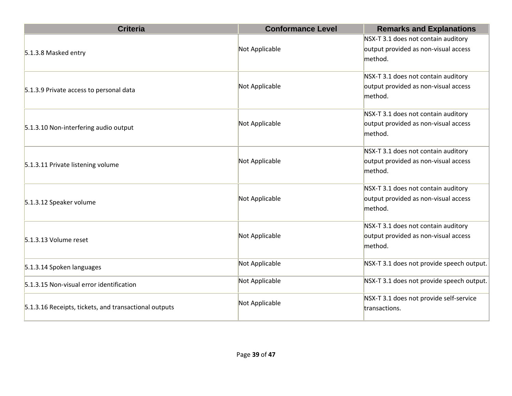| <b>Criteria</b>                                       | <b>Conformance Level</b> | <b>Remarks and Explanations</b>                                             |
|-------------------------------------------------------|--------------------------|-----------------------------------------------------------------------------|
|                                                       | Not Applicable           | NSX-T 3.1 does not contain auditory<br>output provided as non-visual access |
| 5.1.3.8 Masked entry                                  |                          | method.                                                                     |
|                                                       |                          | NSX-T 3.1 does not contain auditory                                         |
| 5.1.3.9 Private access to personal data               | Not Applicable           | output provided as non-visual access<br>method.                             |
|                                                       |                          | NSX-T 3.1 does not contain auditory                                         |
| 5.1.3.10 Non-interfering audio output                 | Not Applicable           | output provided as non-visual access<br>method.                             |
|                                                       |                          | NSX-T 3.1 does not contain auditory                                         |
| 5.1.3.11 Private listening volume                     | Not Applicable           | output provided as non-visual access<br>method.                             |
|                                                       |                          | NSX-T 3.1 does not contain auditory                                         |
| 5.1.3.12 Speaker volume                               | Not Applicable           | output provided as non-visual access                                        |
|                                                       |                          | method.                                                                     |
|                                                       |                          | NSX-T 3.1 does not contain auditory                                         |
| 5.1.3.13 Volume reset                                 | Not Applicable           | output provided as non-visual access<br>method.                             |
| 5.1.3.14 Spoken languages                             | Not Applicable           | NSX-T 3.1 does not provide speech output.                                   |
| 5.1.3.15 Non-visual error identification              | Not Applicable           | NSX-T 3.1 does not provide speech output.                                   |
| 5.1.3.16 Receipts, tickets, and transactional outputs | Not Applicable           | NSX-T 3.1 does not provide self-service<br>transactions.                    |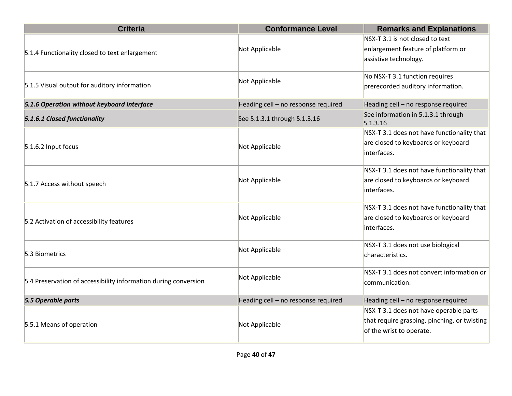| <b>Criteria</b>                                                 | <b>Conformance Level</b>            | <b>Remarks and Explanations</b>                                       |
|-----------------------------------------------------------------|-------------------------------------|-----------------------------------------------------------------------|
|                                                                 | Not Applicable                      | NSX-T 3.1 is not closed to text<br>enlargement feature of platform or |
| 5.1.4 Functionality closed to text enlargement                  |                                     | assistive technology.                                                 |
| 5.1.5 Visual output for auditory information                    | Not Applicable                      | No NSX-T 3.1 function requires<br>prerecorded auditory information.   |
|                                                                 |                                     |                                                                       |
| 5.1.6 Operation without keyboard interface                      | Heading cell - no response required | Heading cell - no response required                                   |
| 5.1.6.1 Closed functionality                                    | See 5.1.3.1 through 5.1.3.16        | See information in 5.1.3.1 through<br>5.1.3.16                        |
|                                                                 |                                     | NSX-T 3.1 does not have functionality that                            |
| 5.1.6.2 Input focus                                             | Not Applicable                      | are closed to keyboards or keyboard                                   |
|                                                                 |                                     | interfaces.                                                           |
|                                                                 |                                     | NSX-T 3.1 does not have functionality that                            |
| 5.1.7 Access without speech                                     | Not Applicable                      | are closed to keyboards or keyboard                                   |
|                                                                 |                                     | interfaces.                                                           |
|                                                                 |                                     | NSX-T 3.1 does not have functionality that                            |
| 5.2 Activation of accessibility features                        | Not Applicable                      | are closed to keyboards or keyboard                                   |
|                                                                 |                                     | interfaces.                                                           |
|                                                                 |                                     | NSX-T 3.1 does not use biological                                     |
| 5.3 Biometrics                                                  | Not Applicable                      | characteristics.                                                      |
|                                                                 | Not Applicable                      | NSX-T 3.1 does not convert information or                             |
| 5.4 Preservation of accessibility information during conversion |                                     | communication.                                                        |
| 5.5 Operable parts                                              | Heading cell - no response required | Heading cell - no response required                                   |
|                                                                 |                                     | NSX-T 3.1 does not have operable parts                                |
| 5.5.1 Means of operation                                        | Not Applicable                      | that require grasping, pinching, or twisting                          |
|                                                                 |                                     | of the wrist to operate.                                              |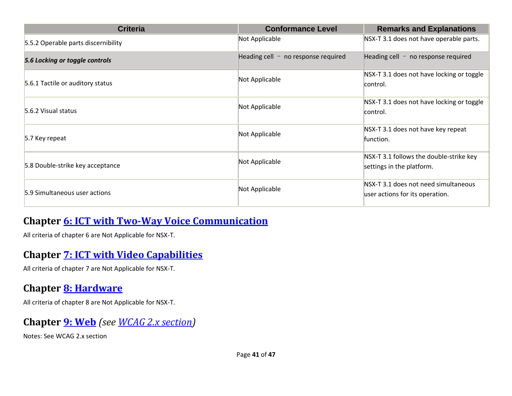| <b>Criteria</b>                     | <b>Conformance Level</b>              | <b>Remarks and Explanations</b>                                         |
|-------------------------------------|---------------------------------------|-------------------------------------------------------------------------|
| 5.5.2 Operable parts discernibility | Not Applicable                        | NSX-T 3.1 does not have operable parts.                                 |
| 5.6 Locking or toggle controls      | Heading cell $-$ no response required | Heading cell $-$ no response required                                   |
| 5.6.1 Tactile or auditory status    | Not Applicable                        | NSX-T 3.1 does not have locking or toggle<br>control.                   |
| 5.6.2 Visual status                 | Not Applicable                        | NSX-T 3.1 does not have locking or toggle<br>control.                   |
| 5.7 Key repeat                      | Not Applicable                        | NSX-T 3.1 does not have key repeat<br>function.                         |
| 5.8 Double-strike key acceptance    | Not Applicable                        | NSX-T 3.1 follows the double-strike key<br>settings in the platform.    |
| 5.9 Simultaneous user actions       | Not Applicable                        | NSX-T 3.1 does not need simultaneous<br>user actions for its operation. |

#### **Chapter [6: ICT with Two-Way Voice Communication](https://www.etsi.org/deliver/etsi_en/301500_301599/301549/03.01.01_60/en_301549v030101p.pdf#%5B%7B%22num%22%3A60%2C%22gen%22%3A0%7D%2C%7B%22name%22%3A%22XYZ%22%7D%2C54%2C747%2C0%5D)**

All criteria of chapter 6 are Not Applicable for NSX-T.

#### **Chapter [7: ICT with Video Capabilities](https://www.etsi.org/deliver/etsi_en/301500_301599/301549/03.01.01_60/en_301549v030101p.pdf#%5B%7B%22num%22%3A70%2C%22gen%22%3A0%7D%2C%7B%22name%22%3A%22XYZ%22%7D%2C54%2C747%2C0%5D)**

All criteria of chapter 7 are Not Applicable for NSX-T.

#### **Chapter [8: Hardware](https://www.etsi.org/deliver/etsi_en/301500_301599/301549/03.01.01_60/en_301549v030101p.pdf#%5B%7B%22num%22%3A74%2C%22gen%22%3A0%7D%2C%7B%22name%22%3A%22XYZ%22%7D%2C54%2C747%2C0%5D)**

All criteria of chapter 8 are Not Applicable for NSX-T.

#### **Chapter [9: Web](https://www.etsi.org/deliver/etsi_en/301500_301599/301549/03.01.01_60/en_301549v030101p.pdf#%5B%7B%22num%22%3A113%2C%22gen%22%3A0%7D%2C%7B%22name%22%3A%22XYZ%22%7D%2C54%2C747%2C0%5D)** *(see [WCAG 2.x](#page-4-0) section)*

Notes: See WCAG 2.x section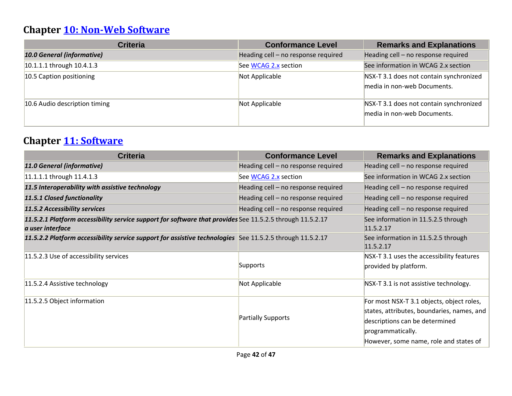## **Chapter [10: Non-Web Software](https://www.etsi.org/deliver/etsi_en/301500_301599/301549/03.01.01_60/en_301549v030101p.pdf#%5B%7B%22num%22%3A127%2C%22gen%22%3A0%7D%2C%7B%22name%22%3A%22XYZ%22%7D%2C54%2C747%2C0%5D)**

| <b>Criteria</b>                   | <b>Conformance Level</b>            | <b>Remarks and Explanations</b>                                        |
|-----------------------------------|-------------------------------------|------------------------------------------------------------------------|
| <b>10.0 General (informative)</b> | Heading cell - no response required | Heading cell - no response required                                    |
| 10.1.1.1 through 10.4.1.3         | See WCAG 2.x section                | See information in WCAG 2.x section                                    |
| 10.5 Caption positioning          | Not Applicable                      | NSX-T 3.1 does not contain synchronized<br>media in non-web Documents. |
| 10.6 Audio description timing     | Not Applicable                      | NSX-T 3.1 does not contain synchronized<br>media in non-web Documents. |

## **Chapter [11: Software](https://www.etsi.org/deliver/etsi_en/301500_301599/301549/03.01.01_60/en_301549v030101p.pdf#%5B%7B%22num%22%3A149%2C%22gen%22%3A0%7D%2C%7B%22name%22%3A%22XYZ%22%7D%2C54%2C747%2C0%5D)**

| <b>Criteria</b>                                                                                                               | <b>Conformance Level</b>            | <b>Remarks and Explanations</b>                                                                                                                                                          |
|-------------------------------------------------------------------------------------------------------------------------------|-------------------------------------|------------------------------------------------------------------------------------------------------------------------------------------------------------------------------------------|
| 11.0 General (informative)                                                                                                    | Heading cell - no response required | Heading cell - no response required                                                                                                                                                      |
| 11.1.1.1 through 11.4.1.3                                                                                                     | See WCAG 2.x section                | See information in WCAG 2.x section                                                                                                                                                      |
| 11.5 Interoperability with assistive technology                                                                               | Heading cell - no response required | Heading cell - no response required                                                                                                                                                      |
| 11.5.1 Closed functionality                                                                                                   | Heading cell - no response required | Heading cell - no response required                                                                                                                                                      |
| 11.5.2 Accessibility services                                                                                                 | Heading cell - no response required | Heading cell - no response required                                                                                                                                                      |
| 11.5.2.1 Platform accessibility service support for software that provides See 11.5.2.5 through 11.5.2.17<br>a user interface |                                     | See information in 11.5.2.5 through<br>11.5.2.17                                                                                                                                         |
| 11.5.2.2 Platform accessibility service support for assistive technologies See 11.5.2.5 through 11.5.2.17                     |                                     | See information in 11.5.2.5 through<br>11.5.2.17                                                                                                                                         |
| 11.5.2.3 Use of accessibility services                                                                                        | Supports                            | NSX-T 3.1 uses the accessibility features<br>provided by platform.                                                                                                                       |
| 11.5.2.4 Assistive technology                                                                                                 | Not Applicable                      | NSX-T 3.1 is not assistive technology.                                                                                                                                                   |
| 11.5.2.5 Object information                                                                                                   | Partially Supports                  | For most NSX-T 3.1 objects, object roles,<br>states, attributes, boundaries, names, and<br>descriptions can be determined<br>programmatically.<br>However, some name, role and states of |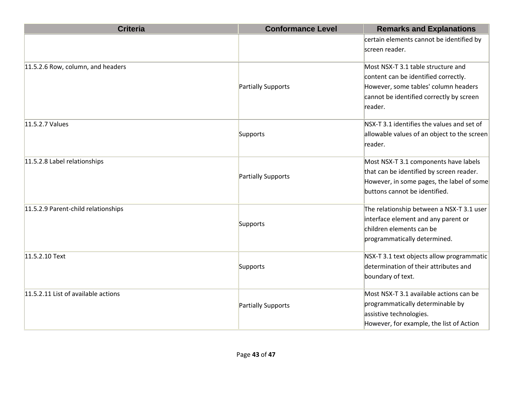| <b>Criteria</b>                     | <b>Conformance Level</b> | <b>Remarks and Explanations</b>             |
|-------------------------------------|--------------------------|---------------------------------------------|
|                                     |                          | certain elements cannot be identified by    |
|                                     |                          | screen reader.                              |
| 11.5.2.6 Row, column, and headers   |                          | Most NSX-T 3.1 table structure and          |
|                                     |                          | content can be identified correctly.        |
|                                     | Partially Supports       | However, some tables' column headers        |
|                                     |                          | cannot be identified correctly by screen    |
|                                     |                          | reader.                                     |
| 11.5.2.7 Values                     |                          | NSX-T 3.1 identifies the values and set of  |
|                                     | Supports                 | allowable values of an object to the screen |
|                                     |                          | reader.                                     |
| 11.5.2.8 Label relationships        |                          | Most NSX-T 3.1 components have labels       |
|                                     | Partially Supports       | that can be identified by screen reader.    |
|                                     |                          | However, in some pages, the label of some   |
|                                     |                          | buttons cannot be identified.               |
| 11.5.2.9 Parent-child relationships |                          | The relationship between a NSX-T 3.1 user   |
|                                     | Supports                 | interface element and any parent or         |
|                                     |                          | children elements can be                    |
|                                     |                          | programmatically determined.                |
| 11.5.2.10 Text                      |                          | NSX-T 3.1 text objects allow programmatic   |
|                                     | Supports                 | determination of their attributes and       |
|                                     |                          | boundary of text.                           |
| 11.5.2.11 List of available actions |                          | Most NSX-T 3.1 available actions can be     |
|                                     | Partially Supports       | programmatically determinable by            |
|                                     |                          | assistive technologies.                     |
|                                     |                          | However, for example, the list of Action    |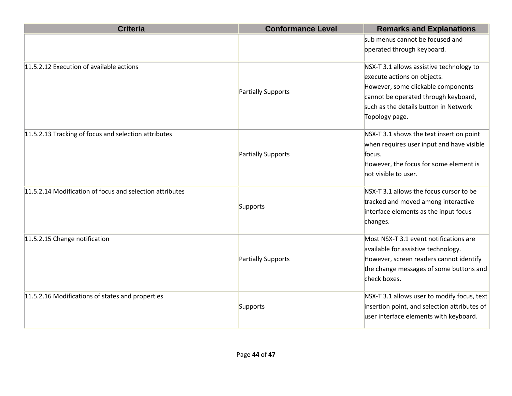| <b>Criteria</b>                                          | <b>Conformance Level</b>  | <b>Remarks and Explanations</b>              |
|----------------------------------------------------------|---------------------------|----------------------------------------------|
|                                                          |                           | sub menus cannot be focused and              |
|                                                          |                           | operated through keyboard.                   |
| 11.5.2.12 Execution of available actions                 |                           | NSX-T 3.1 allows assistive technology to     |
|                                                          |                           | execute actions on objects.                  |
|                                                          |                           | However, some clickable components           |
|                                                          | Partially Supports        | cannot be operated through keyboard,         |
|                                                          |                           | such as the details button in Network        |
|                                                          |                           | Topology page.                               |
| 11.5.2.13 Tracking of focus and selection attributes     |                           | NSX-T 3.1 shows the text insertion point     |
|                                                          |                           | when requires user input and have visible    |
|                                                          | <b>Partially Supports</b> | focus.                                       |
|                                                          |                           | However, the focus for some element is       |
|                                                          |                           | not visible to user.                         |
| 11.5.2.14 Modification of focus and selection attributes |                           | NSX-T 3.1 allows the focus cursor to be      |
|                                                          |                           | tracked and moved among interactive          |
|                                                          | Supports                  | interface elements as the input focus        |
|                                                          |                           | changes.                                     |
| 11.5.2.15 Change notification                            |                           | Most NSX-T 3.1 event notifications are       |
|                                                          |                           | available for assistive technology.          |
|                                                          | Partially Supports        | However, screen readers cannot identify      |
|                                                          |                           | the change messages of some buttons and      |
|                                                          |                           | check boxes.                                 |
| 11.5.2.16 Modifications of states and properties         |                           | NSX-T 3.1 allows user to modify focus, text  |
|                                                          | Supports                  | insertion point, and selection attributes of |
|                                                          |                           | user interface elements with keyboard.       |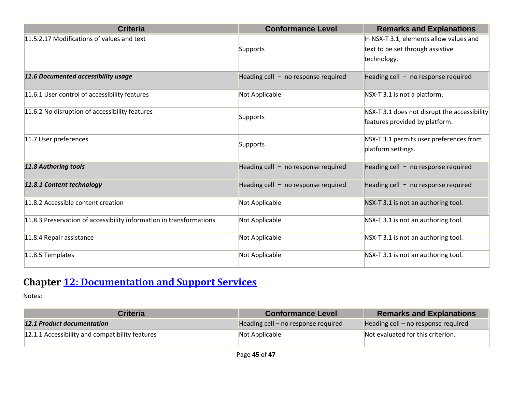| <b>Criteria</b>                                                     | <b>Conformance Level</b>              | <b>Remarks and Explanations</b>              |
|---------------------------------------------------------------------|---------------------------------------|----------------------------------------------|
| 11.5.2.17 Modifications of values and text                          |                                       | In NSX-T 3.1, elements allow values and      |
|                                                                     | Supports                              | text to be set through assistive             |
|                                                                     |                                       | technology.                                  |
| 11.6 Documented accessibility usage                                 | Heading cell $-$ no response required | Heading cell - no response required          |
| 11.6.1 User control of accessibility features                       | Not Applicable                        | NSX-T 3.1 is not a platform.                 |
| 11.6.2 No disruption of accessibility features                      | Supports                              | NSX-T 3.1 does not disrupt the accessibility |
|                                                                     |                                       | features provided by platform.               |
| 11.7 User preferences                                               | Supports                              | NSX-T 3.1 permits user preferences from      |
|                                                                     |                                       | platform settings.                           |
| <b>11.8 Authoring tools</b>                                         | Heading cell $-$ no response required | Heading cell $-$ no response required        |
| 11.8.1 Content technology                                           | Heading cell $-$ no response required | Heading cell $-$ no response required        |
| 11.8.2 Accessible content creation                                  | Not Applicable                        | NSX-T 3.1 is not an authoring tool.          |
| 11.8.3 Preservation of accessibility information in transformations | Not Applicable                        | NSX-T 3.1 is not an authoring tool.          |
| 11.8.4 Repair assistance                                            | Not Applicable                        | NSX-T 3.1 is not an authoring tool.          |
| 11.8.5 Templates                                                    | Not Applicable                        | NSX-T 3.1 is not an authoring tool.          |

## **Chapter [12: Documentation and Support Services](https://www.etsi.org/deliver/etsi_en/301500_301599/301549/03.01.01_60/en_301549v030101p.pdf#%5B%7B%22num%22%3A187%2C%22gen%22%3A0%7D%2C%7B%22name%22%3A%22XYZ%22%7D%2C54%2C747%2C0%5D)**

| <b>Criteria</b>                                 | <b>Conformance Level</b>            | <b>Remarks and Explanations</b>     |
|-------------------------------------------------|-------------------------------------|-------------------------------------|
| <b>12.1 Product documentation</b>               | Heading cell – no response required | Heading cell – no response required |
| 12.1.1 Accessibility and compatibility features | Not Applicable                      | Not evaluated for this criterion.   |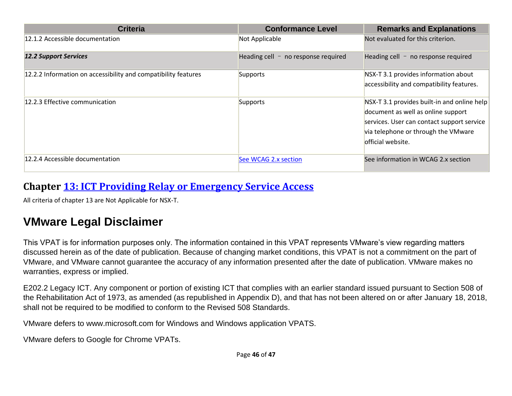| <b>Criteria</b>                                                | <b>Conformance Level</b>              | <b>Remarks and Explanations</b>                                                                                                                                                             |
|----------------------------------------------------------------|---------------------------------------|---------------------------------------------------------------------------------------------------------------------------------------------------------------------------------------------|
| 12.1.2 Accessible documentation                                | Not Applicable                        | Not evaluated for this criterion.                                                                                                                                                           |
| <b>12.2 Support Services</b>                                   | Heading cell $-$ no response required | Heading cell $-$ no response required                                                                                                                                                       |
| 12.2.2 Information on accessibility and compatibility features | Supports                              | NSX-T 3.1 provides information about<br>accessibility and compatibility features.                                                                                                           |
| 12.2.3 Effective communication                                 | Supports                              | NSX-T 3.1 provides built-in and online help<br>document as well as online support<br>services. User can contact support service<br>via telephone or through the VMware<br>official website. |
| 12.2.4 Accessible documentation                                | See WCAG 2.x section                  | See information in WCAG 2.x section                                                                                                                                                         |

#### **Chapter [13: ICT Providing Relay or Emergency Service Access](https://www.etsi.org/deliver/etsi_en/301500_301599/301549/03.01.01_60/en_301549v030101p.pdf#%5B%7B%22num%22%3A191%2C%22gen%22%3A0%7D%2C%7B%22name%22%3A%22XYZ%22%7D%2C54%2C747%2C0%5D)**

All criteria of chapter 13 are Not Applicable for NSX-T.

## **VMware Legal Disclaimer**

This VPAT is for information purposes only. The information contained in this VPAT represents VMware's view regarding matters discussed herein as of the date of publication. Because of changing market conditions, this VPAT is not a commitment on the part of VMware, and VMware cannot guarantee the accuracy of any information presented after the date of publication. VMware makes no warranties, express or implied.

E202.2 Legacy ICT. Any component or portion of existing ICT that complies with an earlier standard issued pursuant to Section 508 of the Rehabilitation Act of 1973, as amended (as republished in Appendix D), and that has not been altered on or after January 18, 2018, shall not be required to be modified to conform to the Revised 508 Standards.

VMware defers to www.microsoft.com for Windows and Windows application VPATS.

VMware defers to Google for Chrome VPATs.